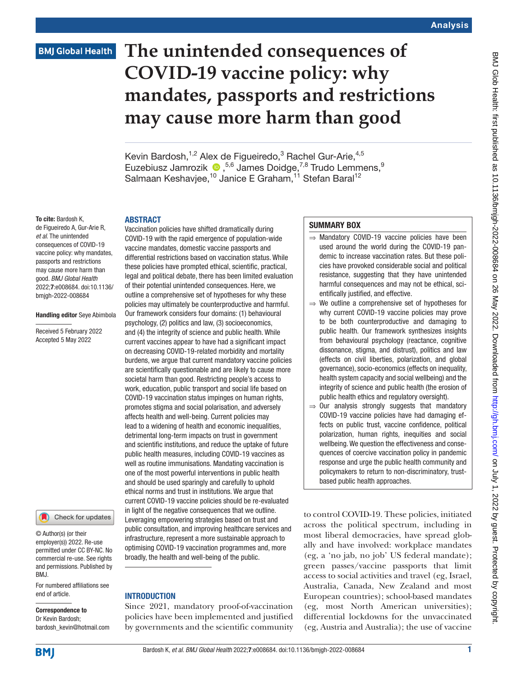## **BMJ Global Health**

# **The unintended consequences of COVID-19 vaccine policy: why mandates, passports and restrictions may cause more harm than good**

Kevin Bardosh,<sup>1,2</sup> Alex de Figueiredo,<sup>3</sup> Rachel Gur-Arie,<sup>4,5</sup> Euzebiusz Jamrozik <sup>1</sup>,<sup>5,6</sup> James Doidge,<sup>7,8</sup> Trudo Lemmens,<sup>9</sup> Salmaan Keshavjee,<sup>10</sup> Janice E Graham,<sup>11</sup> Stefan Baral<sup>12</sup>

#### To cite: Bardosh K,

de Figueiredo A, Gur-Arie R, *et al*. The unintended consequences of COVID-19 vaccine policy: why mandates, passports and restrictions may cause more harm than good. *BMJ Global Health* 2022;7:e008684. doi:10.1136/ bmjgh-2022-008684

ABSTRACT

#### Handling editor Seye Abimbola

Received 5 February 2022 Accepted 5 May 2022



© Author(s) (or their employer(s)) 2022. Re-use permitted under CC BY-NC. No commercial re-use. See rights and permissions. Published by BMJ.

For numbered affiliations see end of article.

### Correspondence to

Dr Kevin Bardosh; bardosh\_kevin@hotmail.com

Vaccination policies have shifted dramatically during COVID-19 with the rapid emergence of population-wide vaccine mandates, domestic vaccine passports and differential restrictions based on vaccination status. While these policies have prompted ethical, scientific, practical, legal and political debate, there has been limited evaluation of their potential unintended consequences. Here, we outline a comprehensive set of hypotheses for why these policies may ultimately be counterproductive and harmful. Our framework considers four domains: (1) behavioural psychology, (2) politics and law, (3) socioeconomics, and (4) the integrity of science and public health. While current vaccines appear to have had a significant impact on decreasing COVID-19-related morbidity and mortality burdens, we argue that current mandatory vaccine policies are scientifically questionable and are likely to cause more societal harm than good. Restricting people's access to work, education, public transport and social life based on COVID-19 vaccination status impinges on human rights, promotes stigma and social polarisation, and adversely affects health and well-being. Current policies may lead to a widening of health and economic inequalities, detrimental long-term impacts on trust in government and scientific institutions, and reduce the uptake of future public health measures, including COVID-19 vaccines as well as routine immunisations. Mandating vaccination is one of the most powerful interventions in public health and should be used sparingly and carefully to uphold ethical norms and trust in institutions. We argue that current COVID-19 vaccine policies should be re-evaluated in light of the negative consequences that we outline. Leveraging empowering strategies based on trust and public consultation, and improving healthcare services and infrastructure, represent a more sustainable approach to optimising COVID-19 vaccination programmes and, more broadly, the health and well-being of the public.

#### **INTRODUCTION**

Since 2021, mandatory proof-of-vaccination policies have been implemented and justified by governments and the scientific community

#### SUMMARY BOX

- ⇒ Mandatory COVID-19 vaccine policies have been used around the world during the COVID-19 pandemic to increase vaccination rates. But these policies have provoked considerable social and political resistance, suggesting that they have unintended harmful consequences and may not be ethical, scientifically justified, and effective.
- $\Rightarrow$  We outline a comprehensive set of hypotheses for why current COVID-19 vaccine policies may prove to be both counterproductive and damaging to public health. Our framework synthesizes insights from behavioural psychology (reactance, cognitive dissonance, stigma, and distrust), politics and law (effects on civil liberties, polarization, and global governance), socio-economics (effects on inequality, health system capacity and social wellbeing) and the integrity of science and public health (the erosion of public health ethics and regulatory oversight).
- ⇒ Our analysis strongly suggests that mandatory COVID-19 vaccine policies have had damaging effects on public trust, vaccine confidence, political polarization, human rights, inequities and social wellbeing. We question the effectiveness and consequences of coercive vaccination policy in pandemic response and urge the public health community and policymakers to return to non-discriminatory, trustbased public health approaches.

to control COVID-19. These policies, initiated across the political spectrum, including in most liberal democracies, have spread globally and have involved: workplace mandates (eg, a 'no jab, no job' US federal mandate); green passes/vaccine passports that limit access to social activities and travel (eg, Israel, Australia, Canada, New Zealand and most European countries); school-based mandates (eg, most North American universities); differential lockdowns for the unvaccinated (eg, Austria and Australia); the use of vaccine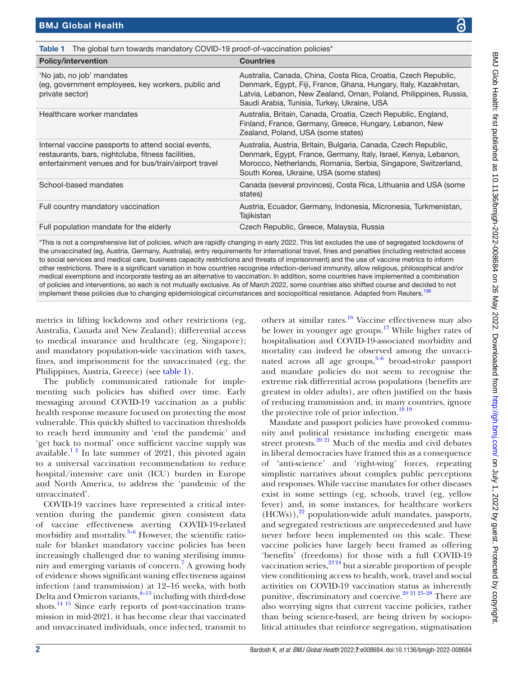| Table 1 The global turn towards mandatory COVID-19 proof-of-vaccination policies* |  |
|-----------------------------------------------------------------------------------|--|

<span id="page-1-0"></span>

| <b>Policy/intervention</b>                                                                                                                                         | <b>Countries</b>                                                                                                                                                                                                                                      |
|--------------------------------------------------------------------------------------------------------------------------------------------------------------------|-------------------------------------------------------------------------------------------------------------------------------------------------------------------------------------------------------------------------------------------------------|
| 'No jab, no job' mandates<br>(eg, government employees, key workers, public and<br>private sector)                                                                 | Australia, Canada, China, Costa Rica, Croatia, Czech Republic,<br>Denmark, Egypt, Fiji, France, Ghana, Hungary, Italy, Kazakhstan,<br>Latvia, Lebanon, New Zealand, Oman, Poland, Philippines, Russia,<br>Saudi Arabia, Tunisia, Turkey, Ukraine, USA |
| Healthcare worker mandates                                                                                                                                         | Australia, Britain, Canada, Croatia, Czech Republic, England,<br>Finland, France, Germany, Greece, Hungary, Lebanon, New<br>Zealand, Poland, USA (some states)                                                                                        |
| Internal vaccine passports to attend social events,<br>restaurants, bars, nightclubs, fitness facilities,<br>entertainment venues and for bus/train/airport travel | Australia, Austria, Britain, Bulgaria, Canada, Czech Republic,<br>Denmark, Egypt, France, Germany, Italy, Israel, Kenya, Lebanon,<br>Morocco, Netherlands, Romania, Serbia, Singapore, Switzerland,<br>South Korea, Ukraine, USA (some states)        |
| School-based mandates                                                                                                                                              | Canada (several provinces), Costa Rica, Lithuania and USA (some<br>states)                                                                                                                                                                            |
| Full country mandatory vaccination                                                                                                                                 | Austria, Ecuador, Germany, Indonesia, Micronesia, Turkmenistan,<br>Tajikistan                                                                                                                                                                         |
| Full population mandate for the elderly                                                                                                                            | Czech Republic, Greece, Malaysia, Russia                                                                                                                                                                                                              |
|                                                                                                                                                                    |                                                                                                                                                                                                                                                       |

\*This is not a comprehensive list of policies, which are rapidly changing in early 2022. This list excludes the use of segregated lockdowns of the unvaccinated (eg, Austria, Germany, Australia), entry requirements for international travel, fines and penalties (including restricted access to social services and medical care, business capacity restrictions and threats of imprisonment) and the use of vaccine metrics to inform other restrictions. There is a significant variation in how countries recognise infection-derived immunity, allow religious, philosophical and/or medical exemptions and incorporate testing as an alternative to vaccination. In addition, some countries have implemented a combination of policies and interventions, so each is not mutually exclusive. As of March 2022, some countries also shifted course and decided to not implement these policies due to changing epidemiological circumstances and sociopolitical resistance. Adapted from Reuters.<sup>13</sup>

metrics in lifting lockdowns and other restrictions (eg, Australia, Canada and New Zealand); differential access to medical insurance and healthcare (eg, Singapore); and mandatory population-wide vaccination with taxes, fines, and imprisonment for the unvaccinated (eg, the Philippines, Austria, Greece) (see [table](#page-1-0) 1).

The publicly communicated rationale for implementing such policies has shifted over time. Early messaging around COVID-19 vaccination as a public health response measure focused on protecting the most vulnerable. This quickly shifted to vaccination thresholds to reach herd immunity and 'end the pandemic' and 'get back to normal' once sufficient vaccine supply was available.<sup>12</sup> In late summer of 2021, this pivoted again to a universal vaccination recommendation to reduce hospital/intensive care unit (ICU) burden in Europe and North America, to address the 'pandemic of the unvaccinated'.

COVID-19 vaccines have represented a critical intervention during the pandemic given consistent data of vaccine effectiveness averting COVID-19-related morbidity and mortality.<sup>3-6</sup> However, the scientific rationale for blanket mandatory vaccine policies has been increasingly challenged due to waning sterilising immunity and emerging variants of concern.[7](#page-10-2) A growing body of evidence shows significant waning effectiveness against infection (and transmission) at 12–16 weeks, with both Delta and Omicron variants, $8-13$  including with third-dose shots.[14 15](#page-10-4) Since early reports of post-vaccination transmission in mid-2021, it has become clear that vaccinated and unvaccinated individuals, once infected, transmit to

others at similar rates.[16](#page-10-5) Vaccine effectiveness may also be lower in younger age groups.<sup>[17](#page-10-6)</sup> While higher rates of hospitalisation and COVID-19-associated morbidity and mortality can indeed be observed among the unvaccinated across all age groups, $3-6$  broad-stroke passport and mandate policies do not seem to recognise the extreme risk differential across populations (benefits are greatest in older adults), are often justified on the basis of reducing transmission and, in many countries, ignore the protective role of prior infection.<sup>[18 19](#page-10-7)</sup>

Mandate and passport policies have provoked community and political resistance including energetic mass street protests. $20$  <sup>21</sup> Much of the media and civil debates in liberal democracies have framed this as a consequence of 'anti-science' and 'right-wing' forces, repeating simplistic narratives about complex public perceptions and responses. While vaccine mandates for other diseases exist in some settings (eg, schools, travel (eg, yellow fever) and, in some instances, for healthcare workers  $(HCWs)$ ,<sup>22</sup> population-wide adult mandates, passports, and segregated restrictions are unprecedented and have never before been implemented on this scale. These vaccine policies have largely been framed as offering 'benefits' (freedoms) for those with a full COVID-19 vaccination series,  $2^{3.24}$  but a sizeable proportion of people view conditioning access to health, work, travel and social activities on COVID-19 vaccination status as inherently punitive, discriminatory and coercive.<sup>20 21 25-28</sup> There are also worrying signs that current vaccine policies, rather than being science-based, are being driven by sociopolitical attitudes that reinforce segregation, stigmatisation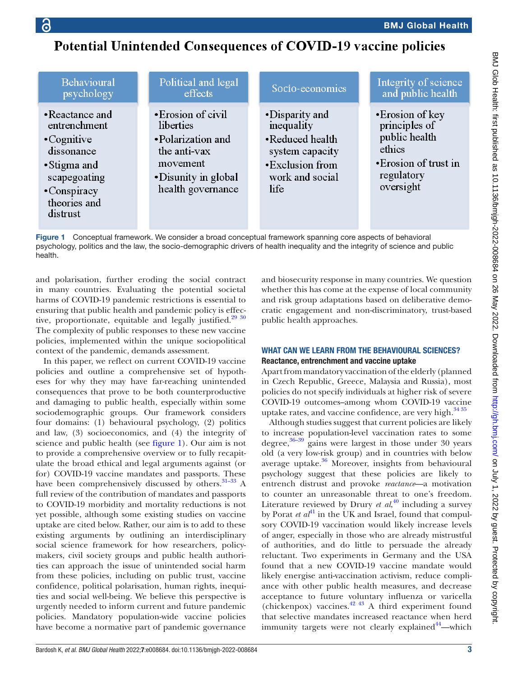## Potential Unintended Consequences of COVID-19 vaccine policies

| Behavioural                                                                                                                                   | Political and legal                                                                                                           | Socio-economics                                                                                                  | Integrity of science                                                                                             |
|-----------------------------------------------------------------------------------------------------------------------------------------------|-------------------------------------------------------------------------------------------------------------------------------|------------------------------------------------------------------------------------------------------------------|------------------------------------------------------------------------------------------------------------------|
| psychology                                                                                                                                    | effects                                                                                                                       |                                                                                                                  | and public health                                                                                                |
| • Reactance and<br>entrenchment<br>$\cdot$ Cognitive<br>dissonance<br>• Stigma and<br>scapegoating<br>•Conspiracy<br>theories and<br>distrust | • Erosion of civil<br>liberties<br>•Polarization and<br>the anti-vax<br>movement<br>• Disunity in global<br>health governance | •Disparity and<br>inequality<br>•Reduced health<br>system capacity<br>•Exclusion from<br>work and social<br>life | • Erosion of key<br>principles of<br>public health<br>ethics<br>• Erosion of trust in<br>regulatory<br>oversight |

<span id="page-2-0"></span>Figure 1 Conceptual framework. We consider a broad conceptual framework spanning core aspects of behavioral psychology, politics and the law, the socio-demographic drivers of health inequality and the integrity of science and public health.

and polarisation, further eroding the social contract in many countries. Evaluating the potential societal harms of COVID-19 pandemic restrictions is essential to ensuring that public health and pandemic policy is effective, proportionate, equitable and legally justified.<sup>29</sup> <sup>30</sup> The complexity of public responses to these new vaccine policies, implemented within the unique sociopolitical context of the pandemic, demands assessment.

In this paper, we reflect on current COVID-19 vaccine policies and outline a comprehensive set of hypotheses for why they may have far-reaching unintended consequences that prove to be both counterproductive and damaging to public health, especially within some sociodemographic groups. Our framework considers four domains: (1) behavioural psychology, (2) politics and law, (3) socioeconomics, and (4) the integrity of science and public health (see [figure](#page-2-0) 1). Our aim is not to provide a comprehensive overview or to fully recapitulate the broad ethical and legal arguments against (or for) COVID-19 vaccine mandates and passports. These have been comprehensively discussed by others.<sup>31-33</sup> A full review of the contribution of mandates and passports to COVID-19 morbidity and mortality reductions is not yet possible, although some existing studies on vaccine uptake are cited below. Rather, our aim is to add to these existing arguments by outlining an interdisciplinary social science framework for how researchers, policymakers, civil society groups and public health authorities can approach the issue of unintended social harm from these policies, including on public trust, vaccine confidence, political polarisation, human rights, inequities and social well-being. We believe this perspective is urgently needed to inform current and future pandemic policies. Mandatory population-wide vaccine policies have become a normative part of pandemic governance

and biosecurity response in many countries. We question whether this has come at the expense of local community and risk group adaptations based on deliberative democratic engagement and non-discriminatory, trust-based public health approaches.

#### WHAT CAN WE LEARN FROM THE BEHAVIOURAL SCIENCES? Reactance, entrenchment and vaccine uptake

Apart from mandatory vaccination of the elderly (planned in Czech Republic, Greece, Malaysia and Russia), most policies do not specify individuals at higher risk of severe COVID-19 outcomes–among whom COVID-19 vaccine uptake rates, and vaccine confidence, are very high. $3435$ 

Although studies suggest that current policies are likely to increase population-level vaccination rates to some degree, $36-39$  gains were largest in those under 30 years old (a very low-risk group) and in countries with below average uptake.<sup>36</sup> Moreover, insights from behavioural psychology suggest that these policies are likely to entrench distrust and provoke *reactance*—a motivation to counter an unreasonable threat to one's freedom. Literature reviewed by Drury *et al*, [40](#page-11-6) including a survey by Porat *et al*<sup>41</sup> in the UK and Israel, found that compulsory COVID-19 vaccination would likely increase levels of anger, especially in those who are already mistrustful of authorities, and do little to persuade the already reluctant. Two experiments in Germany and the USA found that a new COVID-19 vaccine mandate would likely energise anti-vaccination activism, reduce compliance with other public health measures, and decrease acceptance to future voluntary influenza or varicella (chickenpox) vaccines.<sup>[42 43](#page-11-8)</sup> A third experiment found that selective mandates increased reactance when herd immunity targets were not clearly explained<sup>[44](#page-11-9)</sup>—which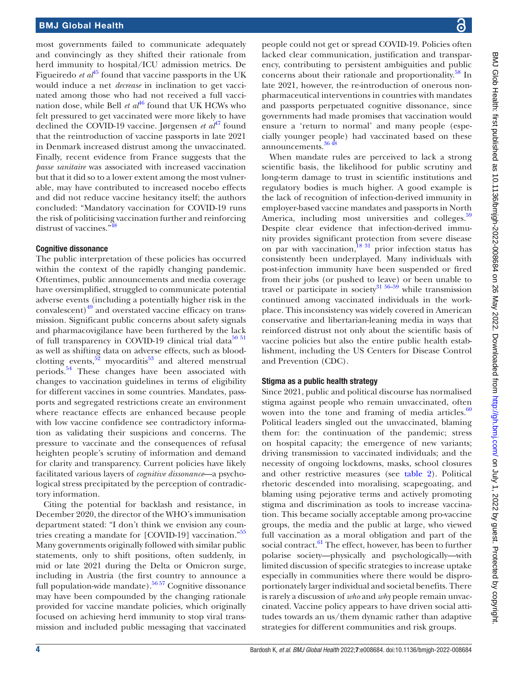most governments failed to communicate adequately and convincingly as they shifted their rationale from herd immunity to hospital/ICU admission metrics. De Figueiredo *et al*<sup>45</sup> found that vaccine passports in the UK would induce a net *decrease* in inclination to get vaccinated among those who had not received a full vaccination dose, while Bell *et al*<sup>[46](#page-11-11)</sup> found that UK HCWs who felt pressured to get vaccinated were more likely to have declined the COVID-19 vaccine. Jørgensen *et al*<sup>47</sup> found that the reintroduction of vaccine passports in late 2021 in Denmark increased distrust among the unvaccinated. Finally, recent evidence from France suggests that the *passe sanitaire* was associated with increased vaccination but that it did so to a lower extent among the most vulnerable, may have contributed to increased nocebo effects and did not reduce vaccine hesitancy itself; the authors concluded: "Mandatory vaccination for COVID-19 runs the risk of politicising vaccination further and reinforcing distrust of vaccines.["48](#page-11-13)

#### Cognitive dissonance

The public interpretation of these policies has occurred within the context of the rapidly changing pandemic. Oftentimes, public announcements and media coverage have oversimplified, struggled to communicate potential adverse events (including a potentially higher risk in the convalescent) $49$  and overstated vaccine efficacy on transmission. Significant public concerns about safety signals and pharmacovigilance have been furthered by the lack of full transparency in COVID-19 clinical trial data $50$   $51$ as well as shifting data on adverse effects, such as bloodclotting events,  $52$  myocarditis<sup>53</sup> and altered menstrual periods.[54](#page-11-18) These changes have been associated with changes to vaccination guidelines in terms of eligibility for different vaccines in some countries. Mandates, passports and segregated restrictions create an environment where reactance effects are enhanced because people with low vaccine confidence see contradictory information as validating their suspicions and concerns. The pressure to vaccinate and the consequences of refusal heighten people's scrutiny of information and demand for clarity and transparency. Current policies have likely facilitated various layers of *cognitive dissonance*—a psychological stress precipitated by the perception of contradictory information.

Citing the potential for backlash and resistance, in December 2020, the director of the WHO's immunisation department stated: "I don't think we envision any coun-tries creating a mandate for [COVID-19] vaccination."<sup>[55](#page-11-19)</sup> Many governments originally followed with similar public statements, only to shift positions, often suddenly, in mid or late 2021 during the Delta or Omicron surge, including in Austria (the first country to announce a full population-wide mandate).<sup>56 57</sup> Cognitive dissonance may have been compounded by the changing rationale provided for vaccine mandate policies, which originally focused on achieving herd immunity to stop viral transmission and included public messaging that vaccinated people could not get or spread COVID-19. Policies often lacked clear communication, justification and transparency, contributing to persistent ambiguities and public concerns about their rationale and proportionality.<sup>[58](#page-11-21)</sup> In late 2021, however, the re-introduction of onerous nonpharmaceutical interventions in countries with mandates and passports perpetuated cognitive dissonance, since governments had made promises that vaccination would ensure a 'return to normal' and many people (especially younger people) had vaccinated based on these announcements.<sup>[36 48](#page-11-5)</sup>

When mandate rules are perceived to lack a strong scientific basis, the likelihood for public scrutiny and long-term damage to trust in scientific institutions and regulatory bodies is much higher. A good example is the lack of recognition of infection-derived immunity in employer-based vaccine mandates and passports in North America, including most universities and colleges.<sup>[59](#page-11-22)</sup> Despite clear evidence that infection-derived immunity provides significant protection from severe disease on par with vaccination, $\frac{18}{31}$  prior infection status has consistently been underplayed. Many individuals with post-infection immunity have been suspended or fired from their jobs (or pushed to leave) or been unable to travel or participate in society<sup>31</sup>  $56-59$  while transmission continued among vaccinated individuals in the workplace. This inconsistency was widely covered in American conservative and libertarian-leaning media in ways that reinforced distrust not only about the scientific basis of vaccine policies but also the entire public health establishment, including the US Centers for Disease Control and Prevention (CDC).

#### Stigma as a public health strategy

Since 2021, public and political discourse has normalised stigma against people who remain unvaccinated, often woven into the tone and framing of media articles. $60$ Political leaders singled out the unvaccinated, blaming them for: the continuation of the pandemic; stress on hospital capacity; the emergence of new variants; driving transmission to vaccinated individuals; and the necessity of ongoing lockdowns, masks, school closures and other restrictive measures (see [table](#page-4-0) 2). Political rhetoric descended into moralising, scapegoating, and blaming using pejorative terms and actively promoting stigma and discrimination as tools to increase vaccination. This became socially acceptable among pro-vaccine groups, the media and the public at large, who viewed full vaccination as a moral obligation and part of the social contract.<sup>[61](#page-11-24)</sup> The effect, however, has been to further polarise society—physically and psychologically—with limited discussion of specific strategies to increase uptake especially in communities where there would be disproportionately larger individual and societal benefits. There is rarely a discussion of *who* and *why* people remain unvaccinated. Vaccine policy appears to have driven social attitudes towards an us/them dynamic rather than adaptive strategies for different communities and risk groups.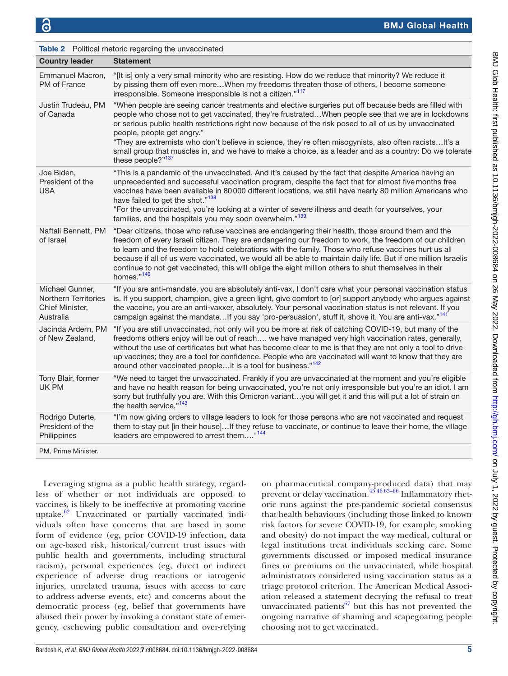<span id="page-4-0"></span>

| <b>Table 2</b> Political rhetoric regarding the unvaccinated                   |                                                                                                                                                                                                                                                                                                                                                                                                                                                                                                                                                                                                |  |  |
|--------------------------------------------------------------------------------|------------------------------------------------------------------------------------------------------------------------------------------------------------------------------------------------------------------------------------------------------------------------------------------------------------------------------------------------------------------------------------------------------------------------------------------------------------------------------------------------------------------------------------------------------------------------------------------------|--|--|
| <b>Country leader</b>                                                          | <b>Statement</b>                                                                                                                                                                                                                                                                                                                                                                                                                                                                                                                                                                               |  |  |
| Emmanuel Macron,<br>PM of France                                               | "[It is] only a very small minority who are resisting. How do we reduce that minority? We reduce it<br>by pissing them off even moreWhen my freedoms threaten those of others, I become someone<br>irresponsible. Someone irresponsible is not a citizen."117                                                                                                                                                                                                                                                                                                                                  |  |  |
| Justin Trudeau, PM<br>of Canada                                                | "When people are seeing cancer treatments and elective surgeries put off because beds are filled with<br>people who chose not to get vaccinated, they're frustratedWhen people see that we are in lockdowns<br>or serious public health restrictions right now because of the risk posed to all of us by unvaccinated<br>people, people get angry."<br>"They are extremists who don't believe in science, they're often misogynists, also often racists It's a<br>small group that muscles in, and we have to make a choice, as a leader and as a country: Do we tolerate<br>these people?"137 |  |  |
| Joe Biden,<br>President of the<br><b>USA</b>                                   | "This is a pandemic of the unvaccinated. And it's caused by the fact that despite America having an<br>unprecedented and successful vaccination program, despite the fact that for almost five months free<br>vaccines have been available in 80 000 different locations, we still have nearly 80 million Americans who<br>have failed to get the shot." <sup>138</sup><br>"For the unvaccinated, you're looking at a winter of severe illness and death for yourselves, your<br>families, and the hospitals you may soon overwhelm." <sup>139</sup>                                           |  |  |
| Naftali Bennett, PM<br>of Israel                                               | "Dear citizens, those who refuse vaccines are endangering their health, those around them and the<br>freedom of every Israeli citizen. They are endangering our freedom to work, the freedom of our children<br>to learn and the freedom to hold celebrations with the family. Those who refuse vaccines hurt us all<br>because if all of us were vaccinated, we would all be able to maintain daily life. But if one million Israelis<br>continue to not get vaccinated, this will oblige the eight million others to shut themselves in their<br>homes."140                                  |  |  |
| Michael Gunner,<br><b>Northern Territories</b><br>Chief Minister,<br>Australia | "If you are anti-mandate, you are absolutely anti-vax, I don't care what your personal vaccination status<br>is. If you support, champion, give a green light, give comfort to [or] support anybody who argues against<br>the vaccine, you are an anti-vaxxer, absolutely. Your personal vaccination status is not relevant. If you<br>campaign against the mandateIf you say 'pro-persuasion', stuff it, shove it. You are anti-vax."141                                                                                                                                                      |  |  |
| Jacinda Ardern, PM<br>of New Zealand,                                          | "If you are still unvaccinated, not only will you be more at risk of catching COVID-19, but many of the<br>freedoms others enjoy will be out of reach we have managed very high vaccination rates, generally,<br>without the use of certificates but what has become clear to me is that they are not only a tool to drive<br>up vaccines; they are a tool for confidence. People who are vaccinated will want to know that they are<br>around other vaccinated peopleit is a tool for business." <sup>142</sup>                                                                               |  |  |
| Tony Blair, former<br>UK PM                                                    | "We need to target the unvaccinated. Frankly if you are unvaccinated at the moment and you're eligible<br>and have no health reason for being unvaccinated, you're not only irresponsible but you're an idiot. I am<br>sorry but truthfully you are. With this Omicron variantyou will get it and this will put a lot of strain on<br>the health service." <sup>143</sup>                                                                                                                                                                                                                      |  |  |
| Rodrigo Duterte,<br>President of the<br>Philippines                            | "I'm now giving orders to village leaders to look for those persons who are not vaccinated and request<br>them to stay put [in their house]If they refuse to vaccinate, or continue to leave their home, the village<br>leaders are empowered to arrest them" <sup>144</sup>                                                                                                                                                                                                                                                                                                                   |  |  |
| PM, Prime Minister.                                                            |                                                                                                                                                                                                                                                                                                                                                                                                                                                                                                                                                                                                |  |  |

Leveraging stigma as a public health strategy, regardless of whether or not individuals are opposed to vaccines, is likely to be ineffective at promoting vaccine uptake. $62$  Unvaccinated or partially vaccinated individuals often have concerns that are based in some form of evidence (eg, prior COVID-19 infection, data on age-based risk, historical/current trust issues with public health and governments, including structural racism), personal experiences (eg, direct or indirect experience of adverse drug reactions or iatrogenic injuries, unrelated trauma, issues with access to care to address adverse events, etc) and concerns about the democratic process (eg, belief that governments have abused their power by invoking a constant state of emergency, eschewing public consultation and over-relying

on pharmaceutical company-produced data) that may prevent or delay vaccination. $45\frac{4663-66}{100}\ln{\frac{1}{2}}$  Inflammatory rhetoric runs against the pre-pandemic societal consensus that health behaviours (including those linked to known risk factors for severe COVID-19, for example, smoking and obesity) do not impact the way medical, cultural or legal institutions treat individuals seeking care. Some governments discussed or imposed medical insurance fines or premiums on the unvaccinated, while hospital administrators considered using vaccination status as a triage protocol criterion. The American Medical Association released a statement decrying the refusal to treat unvaccinated patients $^{67}$  but this has not prevented the ongoing narrative of shaming and scapegoating people choosing not to get vaccinated.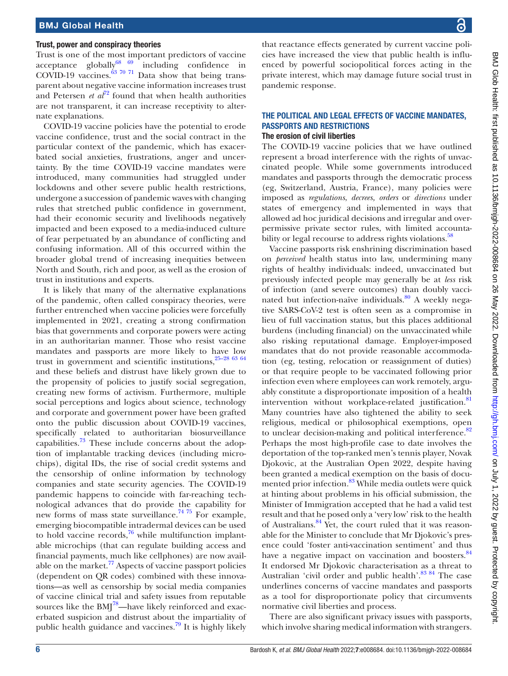#### Trust, power and conspiracy theories

Trust is one of the most important predictors of vaccine acceptance globally $\frac{68}{69}$  including confidence in COVID-19 vaccines. $^{63}$  70 <sup>71</sup> Data show that being transparent about negative vaccine information increases trust and Petersen  $e^{t} a l^{72}$  $e^{t} a l^{72}$  $e^{t} a l^{72}$  found that when health authorities are not transparent, it can increase receptivity to alternate explanations.

COVID-19 vaccine policies have the potential to erode vaccine confidence, trust and the social contract in the particular context of the pandemic, which has exacerbated social anxieties, frustrations, anger and uncertainty. By the time COVID-19 vaccine mandates were introduced, many communities had struggled under lockdowns and other severe public health restrictions, undergone a succession of pandemic waves with changing rules that stretched public confidence in government, had their economic security and livelihoods negatively impacted and been exposed to a media-induced culture of fear perpetuated by an abundance of conflicting and confusing information. All of this occurred within the broader global trend of increasing inequities between North and South, rich and poor, as well as the erosion of trust in institutions and experts.

It is likely that many of the alternative explanations of the pandemic, often called conspiracy theories, were further entrenched when vaccine policies were forcefully implemented in 2021, creating a strong confirmation bias that governments and corporate powers were acting in an authoritarian manner. Those who resist vaccine mandates and passports are more likely to have low trust in government and scientific institutions,  $25-28$  63 64 and these beliefs and distrust have likely grown due to the propensity of policies to justify social segregation, creating new forms of activism. Furthermore, multiple social perceptions and logics about science, technology and corporate and government power have been grafted onto the public discussion about COVID-19 vaccines, specifically related to authoritarian biosurveillance capabilities.<sup>[73](#page-12-1)</sup> These include concerns about the adoption of implantable tracking devices (including microchips), digital IDs, the rise of social credit systems and the censorship of online information by technology companies and state security agencies. The COVID-19 pandemic happens to coincide with far-reaching technological advances that do provide the capability for new forms of mass state surveillance.<sup>[74 75](#page-12-2)</sup> For example, emerging biocompatible intradermal devices can be used to hold vaccine records, $76$  while multifunction implantable microchips (that can regulate building access and financial payments, much like cellphones) are now available on the market.<sup>77</sup> Aspects of vaccine passport policies (dependent on QR codes) combined with these innovations—as well as censorship by social media companies of vaccine clinical trial and safety issues from reputable sources like the  $BMI^{78}$ —have likely reinforced and exacerbated suspicion and distrust about the impartiality of public health guidance and vaccines.<sup>[79](#page-12-6)</sup> It is highly likely

that reactance effects generated by current vaccine policies have increased the view that public health is influenced by powerful sociopolitical forces acting in the private interest, which may damage future social trust in pandemic response.

#### THE POLITICAL AND LEGAL EFFECTS OF VACCINE MANDATES, PASSPORTS AND RESTRICTIONS The erosion of civil liberties

The COVID-19 vaccine policies that we have outlined represent a broad interference with the rights of unvaccinated people. While some governments introduced mandates and passports through the democratic process (eg, Switzerland, Austria, France), many policies were imposed as *regulations*, *decrees, orders* or *directions* under states of emergency and implemented in ways that allowed ad hoc juridical decisions and irregular and overpermissive private sector rules, with limited accounta-bility or legal recourse to address rights violations.<sup>[58](#page-11-21)</sup>

Vaccine passports risk enshrining discrimination based on *perceived* health status into law, undermining many rights of healthy individuals: indeed, unvaccinated but previously infected people may generally be at *less* risk of infection (and severe outcomes) than doubly vaccinated but infection-naïve individuals.<sup>80</sup> A weekly negative SARS-CoV-2 test is often seen as a compromise in lieu of full vaccination status, but this places additional burdens (including financial) on the unvaccinated while also risking reputational damage. Employer-imposed mandates that do not provide reasonable accommodation (eg, testing, relocation or reassignment of duties) or that require people to be vaccinated following prior infection even where employees can work remotely, arguably constitute a disproportionate imposition of a health intervention without workplace-related justification.<sup>[81](#page-12-8)</sup> Many countries have also tightened the ability to seek religious, medical or philosophical exemptions, open to unclear decision-making and political interference.<sup>[82](#page-12-9)</sup> Perhaps the most high-profile case to date involves the deportation of the top-ranked men's tennis player, Novak Djokovic, at the Australian Open 2022, despite having been granted a medical exemption on the basis of docu-mented prior infection.<sup>[83](#page-12-10)</sup> While media outlets were quick at hinting about problems in his official submission, the Minister of Immigration accepted that he had a valid test result and that he posed only a 'very low' risk to the health of Australians.[84](#page-12-11) Yet, the court ruled that it was reasonable for the Minister to conclude that Mr Djokovic's presence could 'foster anti-vaccination sentiment' and thus have a negative impact on vaccination and boosters.<sup>[84](#page-12-11)</sup> It endorsed Mr Djokovic characterisation as a threat to Australian 'civil order and public health'.<sup>83 84</sup> The case underlines concerns of vaccine mandates and passports as a tool for disproportionate policy that circumvents normative civil liberties and process.

There are also significant privacy issues with passports, which involve sharing medical information with strangers.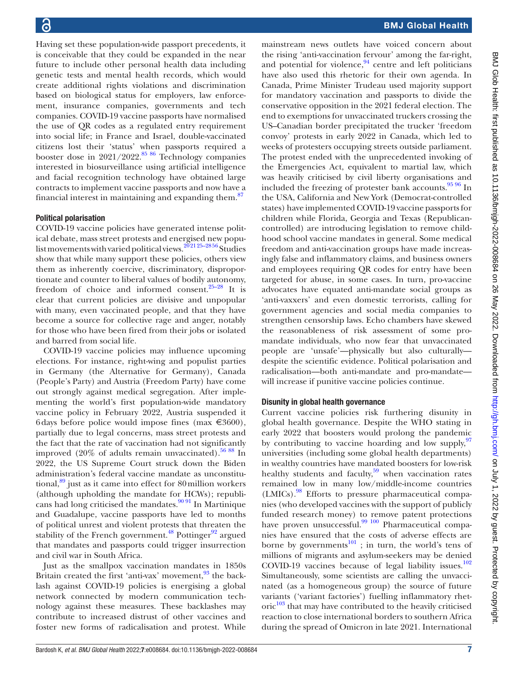Having set these population-wide passport precedents, it is conceivable that they could be expanded in the near future to include other personal health data including genetic tests and mental health records, which would create additional rights violations and discrimination based on biological status for employers, law enforcement, insurance companies, governments and tech companies. COVID-19 vaccine passports have normalised the use of QR codes as a regulated entry requirement into social life; in France and Israel, double-vaccinated citizens lost their 'status' when passports required a booster dose in  $2021/2022$ .<sup>85 86</sup> Technology companies interested in biosurveillance using artificial intelligence and facial recognition technology have obtained large contracts to implement vaccine passports and now have a financial interest in maintaining and expanding them. $87$ 

#### Political polarisation

COVID-19 vaccine policies have generated intense political debate, mass street protests and energised new populist movements with varied political views.<sup>202125-2856</sup> Studies show that while many support these policies, others view them as inherently coercive, discriminatory, disproportionate and counter to liberal values of bodily autonomy, freedom of choice and informed consent.[25–28](#page-11-30) It is clear that current policies are divisive and unpopular with many, even vaccinated people, and that they have become a source for collective rage and anger, notably for those who have been fired from their jobs or isolated and barred from social life.

COVID-19 vaccine policies may influence upcoming elections. For instance, right-wing and populist parties in Germany (the Alternative for Germany), Canada (People's Party) and Austria (Freedom Party) have come out strongly against medical segregation. After implementing the world's first population-wide mandatory vaccine policy in February 2022, Austria suspended it 6 days before police would impose fines (max  $\in 3600$ ), partially due to legal concerns, mass street protests and the fact that the rate of vaccination had not significantly improved  $(20\%$  of adults remain unvaccinated).<sup>56 88</sup> In 2022, the US Supreme Court struck down the Biden administration's federal vaccine mandate as unconstitutional, $89$  just as it came into effect for 80 million workers (although upholding the mandate for HCWs); republicans had long criticised the mandates. $90\frac{9}{1}$  In Martinique and Guadalupe, vaccine passports have led to months of political unrest and violent protests that threaten the stability of the French government.<sup>48</sup> Pottinger<sup>92</sup> argued that mandates and passports could trigger insurrection and civil war in South Africa.

Just as the smallpox vaccination mandates in 1850s Britain created the first 'anti-vax' movement, $93$  the backlash against COVID-19 policies is energising a global network connected by modern communication technology against these measures. These backlashes may contribute to increased distrust of other vaccines and foster new forms of radicalisation and protest. While

mainstream news outlets have voiced concern about the rising 'anti-vaccination fervour' among the far-right, and potential for violence, $94$  centre and left politicians have also used this rhetoric for their own agenda. In Canada, Prime Minister Trudeau used majority support for mandatory vaccination and passports to divide the conservative opposition in the 2021 federal election. The end to exemptions for unvaccinated truckers crossing the US–Canadian border precipitated the trucker 'freedom convoy' protests in early 2022 in Canada, which led to weeks of protesters occupying streets outside parliament. The protest ended with the unprecedented invoking of the Emergencies Act, equivalent to martial law, which was heavily criticised by civil liberty organisations and included the freezing of protester bank accounts. $\frac{95\,96}{9}$  In the USA, California and New York (Democrat-controlled states) have implemented COVID-19 vaccine passports for children while Florida, Georgia and Texas (Republicancontrolled) are introducing legislation to remove childhood school vaccine mandates in general. Some medical freedom and anti-vaccination groups have made increasingly false and inflammatory claims, and business owners and employees requiring QR codes for entry have been targeted for abuse, in some cases. In turn, pro-vaccine advocates have equated anti-mandate social groups as 'anti-vaxxers' and even domestic terrorists, calling for government agencies and social media companies to strengthen censorship laws. Echo chambers have skewed the reasonableness of risk assessment of some promandate individuals, who now fear that unvaccinated people are 'unsafe'—physically but also culturally despite the scientific evidence. Political polarisation and radicalisation—both anti-mandate and pro-mandate will increase if punitive vaccine policies continue.

#### Disunity in global health governance

Current vaccine policies risk furthering disunity in global health governance. Despite the WHO stating in early 2022 that boosters would prolong the pandemic by contributing to vaccine hoarding and low supply,  $97$ universities (including some global health departments) in wealthy countries have mandated boosters for low-risk healthy students and faculty, $59$  when vaccination rates remained low in many low/middle-income countries (LMICs)[.98](#page-12-21) Efforts to pressure pharmaceutical companies (who developed vaccines with the support of publicly funded research money) to remove patent protections have proven unsuccessful.<sup>[99 100](#page-12-22)</sup> Pharmaceutical companies have ensured that the costs of adverse effects are borne by governments $101$ ; in turn, the world's tens of millions of migrants and asylum-seekers may be denied COVID-19 vaccines because of legal liability issues. $102$ Simultaneously, some scientists are calling the unvaccinated (as a homogeneous group) the source of future variants ('variant factories') fuelling inflammatory rhet- $\text{oric}^{103}$  $\text{oric}^{103}$  $\text{oric}^{103}$  that may have contributed to the heavily criticised reaction to close international borders to southern Africa during the spread of Omicron in late 2021. International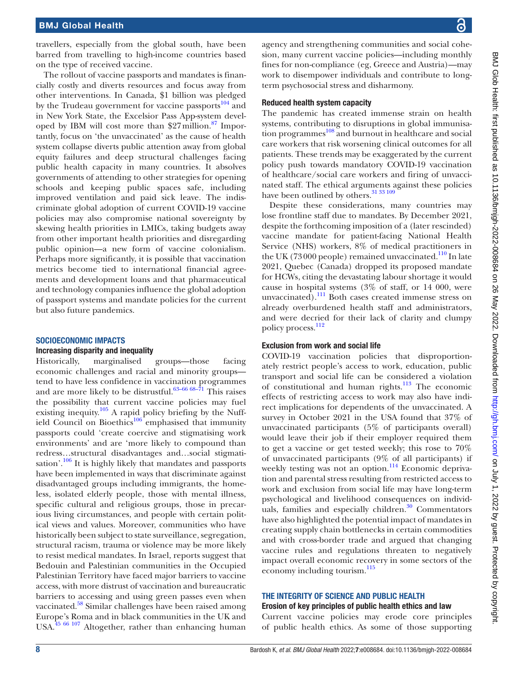travellers, especially from the global south, have been barred from travelling to high-income countries based on the type of received vaccine.

The rollout of vaccine passports and mandates is financially costly and diverts resources and focus away from other interventions. In Canada, \$1 billion was pledged by the Trudeau government for vaccine passports<sup>104</sup> and in New York State, the Excelsior Pass App-system developed by IBM will cost more than  $27$  million.<sup>87</sup> Importantly, focus on 'the unvaccinated' as the cause of health system collapse diverts public attention away from global equity failures and deep structural challenges facing public health capacity in many countries. It absolves governments of attending to other strategies for opening schools and keeping public spaces safe, including improved ventilation and paid sick leave. The indiscriminate global adoption of current COVID-19 vaccine policies may also compromise national sovereignty by skewing health priorities in LMICs, taking budgets away from other important health priorities and disregarding public opinion—a new form of vaccine colonialism. Perhaps more significantly, it is possible that vaccination metrics become tied to international financial agreements and development loans and that pharmaceutical and technology companies influence the global adoption of passport systems and mandate policies for the current but also future pandemics.

## SOCIOECONOMIC IMPACTS

#### Increasing disparity and inequality

Historically, marginalised groups—those facing economic challenges and racial and minority groups tend to have less confidence in vaccination programmes and are more likely to be distrustful.<sup>63-66 68-71</sup> This raises the possibility that current vaccine policies may fuel existing inequity.<sup>[105](#page-12-27)</sup> A rapid policy briefing by the Nuffield Council on Bioethics<sup>106</sup> emphasised that immunity passports could 'create coercive and stigmatising work environments' and are 'more likely to compound than redress…structural disadvantages and…social stigmati-sation'.<sup>[106](#page-12-28)</sup> It is highly likely that mandates and passports have been implemented in ways that discriminate against disadvantaged groups including immigrants, the homeless, isolated elderly people, those with mental illness, specific cultural and religious groups, those in precarious living circumstances, and people with certain political views and values. Moreover, communities who have historically been subject to state surveillance, segregation, structural racism, trauma or violence may be more likely to resist medical mandates. In Israel, reports suggest that Bedouin and Palestinian communities in the Occupied Palestinian Territory have faced major barriers to vaccine access, with more distrust of vaccination and bureaucratic barriers to accessing and using green passes even when vaccinated.<sup>[58](#page-11-21)</sup> Similar challenges have been raised among Europe's Roma and in black communities in the UK and USA[.45 66 107](#page-11-10) Altogether, rather than enhancing human

agency and strengthening communities and social cohesion, many current vaccine policies—including monthly fines for non-compliance (eg, Greece and Austria)—may work to disempower individuals and contribute to longterm psychosocial stress and disharmony.

#### Reduced health system capacity

The pandemic has created immense strain on health systems, contributing to disruptions in global immunisa-tion programmes<sup>[108](#page-12-29)</sup> and burnout in healthcare and social care workers that risk worsening clinical outcomes for all patients. These trends may be exaggerated by the current policy push towards mandatory COVID-19 vaccination of healthcare/social care workers and firing of unvaccinated staff. The ethical arguments against these policies have been outlined by others.<sup>31</sup> 33 109

Despite these considerations, many countries may lose frontline staff due to mandates. By December 2021, despite the forthcoming imposition of a (later rescinded) vaccine mandate for patient-facing National Health Service (NHS) workers, 8% of medical practitioners in the UK (73000 people) remained unvaccinated. $110$  In late 2021, Quebec (Canada) dropped its proposed mandate for HCWs, citing the devastating labour shortage it would cause in hospital systems (3% of staff, or 14 000, were unvaccinated).<sup>111</sup> Both cases created immense stress on already overburdened health staff and administrators, and were decried for their lack of clarity and clumpy policy process.<sup>112</sup>

#### Exclusion from work and social life

COVID-19 vaccination policies that disproportionately restrict people's access to work, education, public transport and social life can be considered a violation of constitutional and human rights.<sup>113</sup> The economic effects of restricting access to work may also have indirect implications for dependents of the unvaccinated. A survey in October 2021 in the USA found that 37% of unvaccinated participants (5% of participants overall) would leave their job if their employer required them to get a vaccine or get tested weekly; this rose to 70% of unvaccinated participants (9% of all participants) if weekly testing was not an option.<sup>114</sup> Economic deprivation and parental stress resulting from restricted access to work and exclusion from social life may have long-term psychological and livelihood consequences on individuals, families and especially children.<sup>30</sup> Commentators have also highlighted the potential impact of mandates in creating supply chain bottlenecks in certain commodities and with cross-border trade and argued that changing vaccine rules and regulations threaten to negatively impact overall economic recovery in some sectors of the economy including tourism.<sup>[115](#page-12-35)</sup>

#### THE INTEGRITY OF SCIENCE AND PUBLIC HEALTH

#### Erosion of key principles of public health ethics and law

Current vaccine policies may erode core principles of public health ethics. As some of those supporting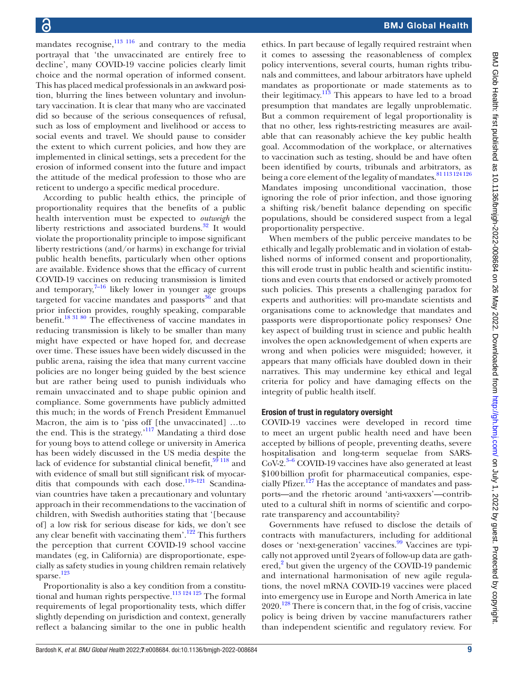mandates recognise, $\frac{113 \times 116}{116}$  and contrary to the media portrayal that 'the unvaccinated are entirely free to decline', many COVID-19 vaccine policies clearly limit choice and the normal operation of informed consent. This has placed medical professionals in an awkward position, blurring the lines between voluntary and involuntary vaccination. It is clear that many who are vaccinated did so because of the serious consequences of refusal, such as loss of employment and livelihood or access to social events and travel. We should pause to consider the extent to which current policies, and how they are implemented in clinical settings, sets a precedent for the erosion of informed consent into the future and impact the attitude of the medical profession to those who are reticent to undergo a specific medical procedure.

According to public health ethics, the principle of proportionality requires that the benefits of a public health intervention must be expected to *outweigh* the liberty restrictions and associated burdens. $32$  It would violate the proportionality principle to impose significant liberty restrictions (and/or harms) in exchange for trivial public health benefits, particularly when other options are available. Evidence shows that the efficacy of current COVID-19 vaccines on reducing transmission is limited and temporary, $7-16$  likely lower in younger age groups targeted for vaccine mandates and passports $36$  and that prior infection provides, roughly speaking, comparable benefit.[18 31 80](#page-10-7) The effectiveness of vaccine mandates in reducing transmission is likely to be smaller than many might have expected or have hoped for, and decrease over time. These issues have been widely discussed in the public arena, raising the idea that many current vaccine policies are no longer being guided by the best science but are rather being used to punish individuals who remain unvaccinated and to shape public opinion and compliance. Some governments have publicly admitted this much; in the words of French President Emmanuel Macron, the aim is to 'piss off [the unvaccinated] …to the end. This is the strategy.['117](#page-12-0) Mandating a third dose for young boys to attend college or university in America has been widely discussed in the US media despite the lack of evidence for substantial clinical benefit, $59118$  and with evidence of small but still significant risk of myocarditis that compounds with each dose.<sup>119-121</sup> Scandinavian countries have taken a precautionary and voluntary approach in their recommendations to the vaccination of children, with Swedish authorities stating that '[because of] a low risk for serious disease for kids, we don't see any clear benefit with vaccinating them'. $122$  This furthers the perception that current COVID-19 school vaccine mandates (eg, in California) are disproportionate, especially as safety studies in young children remain relatively sparse. $^{123}$ 

Proportionality is also a key condition from a constitutional and human rights perspective.<sup>113 124 125</sup> The formal requirements of legal proportionality tests, which differ slightly depending on jurisdiction and context, generally reflect a balancing similar to the one in public health

ethics. In part because of legally required restraint when it comes to assessing the reasonableness of complex policy interventions, several courts, human rights tribunals and committees, and labour arbitrators have upheld mandates as proportionate or made statements as to their legitimacy. $113$  This appears to have led to a broad presumption that mandates are legally unproblematic. But a common requirement of legal proportionality is that no other, less rights-restricting measures are available that can reasonably achieve the key public health goal. Accommodation of the workplace, or alternatives to vaccination such as testing, should be and have often been identified by courts, tribunals and arbitrators, as being a core element of the legality of mandates. [81 113 124 126](#page-12-8) Mandates imposing unconditional vaccination, those ignoring the role of prior infection, and those ignoring a shifting risk/benefit balance depending on specific populations, should be considered suspect from a legal proportionality perspective.

When members of the public perceive mandates to be ethically and legally problematic and in violation of established norms of informed consent and proportionality, this will erode trust in public health and scientific institutions and even courts that endorsed or actively promoted such policies. This presents a challenging paradox for experts and authorities: will pro-mandate scientists and organisations come to acknowledge that mandates and passports were disproportionate policy responses? One key aspect of building trust in science and public health involves the open acknowledgement of when experts are wrong and when policies were misguided; however, it appears that many officials have doubled down in their narratives. This may undermine key ethical and legal criteria for policy and have damaging effects on the integrity of public health itself.

#### Erosion of trust in regulatory oversight

COVID-19 vaccines were developed in record time to meet an urgent public health need and have been accepted by billions of people, preventing deaths, severe hospitalisation and long-term sequelae from SARS- $CoV-2.<sup>3-6</sup> COVID-19$  vaccines have also generated at least \$100billion profit for pharmaceutical companies, especially Pfizer.<sup>127</sup> Has the acceptance of mandates and passports—and the rhetoric around 'anti-vaxxers'—contributed to a cultural shift in norms of scientific and corporate transparency and accountability?

Governments have refused to disclose the details of contracts with manufacturers, including for additional doses or 'next-generation' vaccines.<sup>[99](#page-12-22)</sup> Vaccines are typically not approved until 2years of follow-up data are gath-ered,<sup>[2](#page-10-9)</sup> but given the urgency of the COVID-19 pandemic and international harmonisation of new agile regulations, the novel mRNA COVID-19 vaccines were placed into emergency use in Europe and North America in late  $2020$ .<sup>128</sup> There is concern that, in the fog of crisis, vaccine policy is being driven by vaccine manufacturers rather than independent scientific and regulatory review. For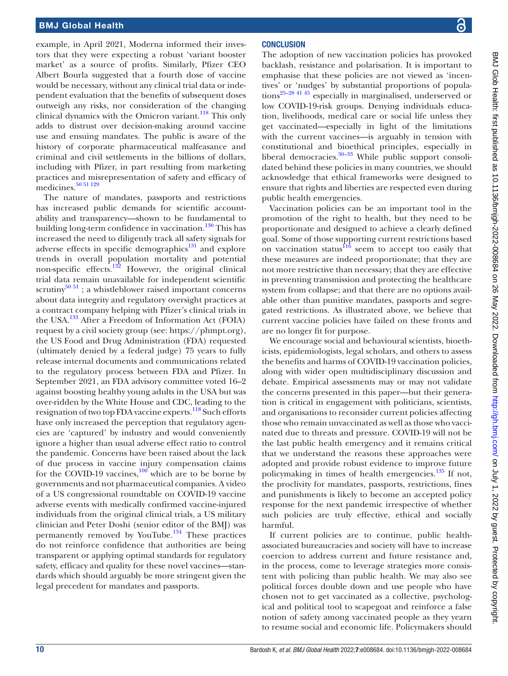example, in April 2021, Moderna informed their investors that they were expecting a robust 'variant booster market' as a source of profits. Similarly, Pfizer CEO Albert Bourla suggested that a fourth dose of vaccine would be necessary, without any clinical trial data or independent evaluation that the benefits of subsequent doses outweigh any risks, nor consideration of the changing clinical dynamics with the Omicron variant. $^{118}$  This only adds to distrust over decision-making around vaccine use and ensuing mandates. The public is aware of the history of corporate pharmaceutical malfeasance and criminal and civil settlements in the billions of dollars, including with Pfizer, in part resulting from marketing practices and misrepresentation of safety and efficacy of medicines.<sup>[50 51 129](#page-11-15)</sup>

The nature of mandates, passports and restrictions has increased public demands for scientific accountability and transparency—shown to be fundamental to building long-term confidence in vaccination. $130$  This has increased the need to diligently track all safety signals for adverse effects in specific demographics $131$  and explore trends in overall population mortality and potential non-specific effects.[132](#page-13-14) However, the original clinical trial data remain unavailable for independent scientific scrutiny<sup>[50 51](#page-11-15)</sup>; a whistleblower raised important concerns about data integrity and regulatory oversight practices at a contract company helping with Pfizer's clinical trials in the USA.[133](#page-13-15) After a Freedom of Information Act (FOIA) request by a civil society group (see: [https://phmpt.org\)](https://phmpt.org), the US Food and Drug Administration (FDA) requested (ultimately denied by a federal judge) 75 years to fully release internal documents and communications related to the regulatory process between FDA and Pfizer. In September 2021, an FDA advisory committee voted 16–2 against boosting healthy young adults in the USA but was over-ridden by the White House and CDC, leading to the resignation of two top FDA vaccine experts.<sup>118</sup> Such efforts have only increased the perception that regulatory agencies are 'captured' by industry and would conveniently ignore a higher than usual adverse effect ratio to control the pandemic. Concerns have been raised about the lack of due process in vaccine injury compensation claims for the COVID-19 vaccines, $\frac{100}{2}$  $\frac{100}{2}$  $\frac{100}{2}$  which are to be borne by governments and not pharmaceutical companies. A video of a US congressional roundtable on COVID-19 vaccine adverse events with medically confirmed vaccine-injured individuals from the original clinical trials, a US military clinician and Peter Doshi (senior editor of the BMJ) was permanently removed by YouTube. $134$  These practices do not reinforce confidence that authorities are being transparent or applying optimal standards for regulatory safety, efficacy and quality for these novel vaccines—standards which should arguably be more stringent given the legal precedent for mandates and passports.

## **CONCLUSION**

The adoption of new vaccination policies has provoked backlash, resistance and polarisation. It is important to emphasise that these policies are not viewed as 'incentives' or 'nudges' by substantial proportions of population[s25–28 41 45](#page-11-30) especially in marginalised, underserved or low COVID-19-risk groups. Denying individuals education, livelihoods, medical care or social life unless they get vaccinated—especially in light of the limitations with the current vaccines—is arguably in tension with constitutional and bioethical principles, especially in liberal democracies. $30-33$  While public support consolidated behind these policies in many countries, we should acknowledge that ethical frameworks were designed to ensure that rights and liberties are respected even during public health emergencies.

Vaccination policies can be an important tool in the promotion of the right to health, but they need to be proportionate and designed to achieve a clearly defined goal. Some of those supporting current restrictions based on vaccination status $^{116}$  seem to accept too easily that these measures are indeed proportionate; that they are not more restrictive than necessary; that they are effective in preventing transmission and protecting the healthcare system from collapse; and that there are no options available other than punitive mandates, passports and segregated restrictions. As illustrated above, we believe that current vaccine policies have failed on these fronts and are no longer fit for purpose.

We encourage social and behavioural scientists, bioethicists, epidemiologists, legal scholars, and others to assess the benefits and harms of COVID-19 vaccination policies, along with wider open multidisciplinary discussion and debate. Empirical assessments may or may not validate the concerns presented in this paper—but their generation is critical in engagement with politicians, scientists, and organisations to reconsider current policies affecting those who remain unvaccinated as well as those who vaccinated due to threats and pressure. COVID-19 will not be the last public health emergency and it remains critical that we understand the reasons these approaches were adopted and provide robust evidence to improve future policymaking in times of health emergencies. $135$  If not, the proclivity for mandates, passports, restrictions, fines and punishments is likely to become an accepted policy response for the next pandemic irrespective of whether such policies are truly effective, ethical and socially harmful.

If current policies are to continue, public healthassociated bureaucracies and society will have to increase coercion to address current and future resistance and, in the process, come to leverage strategies more consistent with policing than public health. We may also see political forces double down and use people who have chosen not to get vaccinated as a collective, psychological and political tool to scapegoat and reinforce a false notion of safety among vaccinated people as they yearn to resume social and economic life. Policymakers should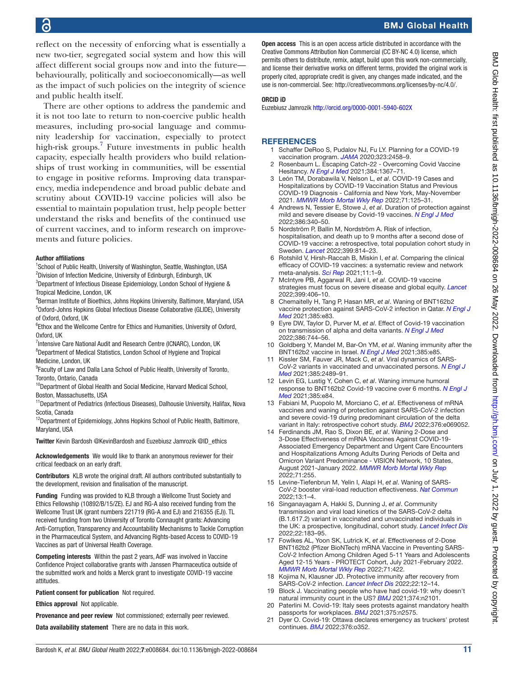## BMJ Global Health

reflect on the necessity of enforcing what is essentially a new two-tier, segregated social system and how this will affect different social groups now and into the future behaviourally, politically and socioeconomically—as well as the impact of such policies on the integrity of science and public health itself.

There are other options to address the pandemic and it is not too late to return to non-coercive public health measures, including pro-social language and community leadership for vaccination, especially to protect high-risk groups[.7](#page-10-2) Future investments in public health capacity, especially health providers who build relationships of trust working in communities, will be essential to engage in positive reforms. Improving data transparency, media independence and broad public debate and scrutiny about COVID-19 vaccine policies will also be essential to maintain population trust, help people better understand the risks and benefits of the continued use of current vaccines, and to inform research on improvements and future policies.

#### Author affiliations

<sup>1</sup>School of Public Health, University of Washington, Seattle, Washington, USA <sup>2</sup>Division of Infection Medicine, University of Edinburgh, Edinburgh, UK

<sup>3</sup>Department of Infectious Disease Epidemiology, London School of Hygiene & Tropical Medicine, London, UK

4 Berman Institute of Bioethics, Johns Hopkins University, Baltimore, Maryland, USA 5 Oxford-Johns Hopkins Global Infectious Disease Collaborative (GLIDE), University of Oxford, Oxford, UK

<sup>6</sup>Ethox and the Wellcome Centre for Ethics and Humanities, University of Oxford, Oxford, UK

<sup>7</sup>Intensive Care National Audit and Research Centre (ICNARC), London, UK <sup>8</sup>Department of Medical Statistics, London School of Hygiene and Tropical Medicine, London, UK

<sup>9</sup> Faculty of Law and Dalla Lana School of Public Health, University of Toronto, Toronto, Ontario, Canada

<sup>10</sup>Department of Global Health and Social Medicine, Harvard Medical School, Boston, Massachusetts, USA

<sup>11</sup> Department of Pediatrics (Infectious Diseases), Dalhousie University, Halifax, Nova Scotia, Canada

<sup>12</sup>Department of Epidemiology, Johns Hopkins School of Public Health, Baltimore, Maryland, USA

Twitter Kevin Bardosh [@KevinBardosh](https://twitter.com/KevinBardosh) and Euzebiusz Jamrozik [@ID\\_ethics](https://twitter.com/ID_ethics)

Acknowledgements We would like to thank an anonymous reviewer for their critical feedback on an early draft.

Contributors KLB wrote the original draft. All authors contributed substantially to the development, revision and finalisation of the manuscript.

Funding Funding was provided to KLB through a Wellcome Trust Society and Ethics Fellowship (10892/B/15/ZE). EJ and RG-A also received funding from the Wellcome Trust UK (grant numbers 221719 (RG-A and EJ) and 216355 (EJ)). TL received funding from two University of Toronto Connaught grants: Advancing Anti-Corruption, Transparency and Accountability Mechanisms to Tackle Corruption in the Pharmaceutical System, and Advancing Rights-based Access to COVID-19 Vaccines as part of Universal Health Coverage.

Competing interests Within the past 2 years, AdF was involved in Vaccine Confidence Project collaborative grants with Janssen Pharmaceutica outside of the submitted work and holds a Merck grant to investigate COVID-19 vaccine attitudes.

Patient consent for publication Not required.

Ethics approval Not applicable.

Provenance and peer review Not commissioned; externally peer reviewed.

Data availability statement There are no data in this work.

**Open access** This is an open access article distributed in accordance with the Creative Commons Attribution Non Commercial (CC BY-NC 4.0) license, which permits others to distribute, remix, adapt, build upon this work non-commercially, and license their derivative works on different terms, provided the original work is properly cited, appropriate credit is given, any changes made indicated, and the use is non-commercial. See:<http://creativecommons.org/licenses/by-nc/4.0/>.

#### ORCID iD

Euzebiusz Jamrozik<http://orcid.org/0000-0001-5940-602X>

#### <span id="page-10-0"></span>**REFERENCES**

- Schaffer DeRoo S, Pudalov NJ, Fu LY. Planning for a COVID-19 vaccination program. *[JAMA](http://dx.doi.org/10.1001/jama.2020.8711)* 2020;323:2458–9.
- <span id="page-10-9"></span>2 Rosenbaum L. Escaping Catch-22 - Overcoming Covid Vaccine Hesitancy. *[N Engl J Med](http://dx.doi.org/10.1056/NEJMms2101220)* 2021;384:1367–71.
- <span id="page-10-1"></span>3 León TM, Dorabawila V, Nelson L, *et al*. COVID-19 Cases and Hospitalizations by COVID-19 Vaccination Status and Previous COVID-19 Diagnosis - California and New York, May-November 2021. *[MMWR Morb Mortal Wkly Rep](http://dx.doi.org/10.15585/mmwr.mm7104e1)* 2022;71:125–31.
- 4 Andrews N, Tessier E, Stowe J, *et al*. Duration of protection against mild and severe disease by Covid-19 vaccines. *[N Engl J Med](http://dx.doi.org/10.1056/NEJMoa2115481)* 2022;386:340–50.
- 5 Nordström P, Ballin M, Nordström A. Risk of infection, hospitalisation, and death up to 9 months after a second dose of COVID-19 vaccine: a retrospective, total population cohort study in Sweden. *[Lancet](http://dx.doi.org/10.1016/S0140-6736(22)00089-7)* 2022;399:814–23.
- 6 Rotshild V, Hirsh-Raccah B, Miskin I, *et al*. Comparing the clinical efficacy of COVID-19 vaccines: a systematic review and network meta-analysis. *[Sci Rep](http://dx.doi.org/10.1038/s41598-021-02321-z)* 2021;11:1–9.
- <span id="page-10-2"></span>7 McIntyre PB, Aggarwal R, Jani I, *et al*. COVID-19 vaccine strategies must focus on severe disease and global equity. *[Lancet](http://dx.doi.org/10.1016/S0140-6736(21)02835-X)* 2022;399:406–10.
- <span id="page-10-3"></span>8 Chemaitelly H, Tang P, Hasan MR, *et al*. Waning of BNT162b2 vaccine protection against SARS-CoV-2 infection in Qatar. *[N Engl J](http://dx.doi.org/10.1056/NEJMoa2114114)  [Med](http://dx.doi.org/10.1056/NEJMoa2114114)* 2021;385:e83.
- 9 Eyre DW, Taylor D, Purver M, *et al*. Effect of Covid-19 vaccination on transmission of alpha and delta variants. *[N Engl J Med](http://dx.doi.org/10.1056/NEJMoa2116597)* 2022;386:744–56.
- 10 Goldberg Y, Mandel M, Bar-On YM, *et al*. Waning immunity after the BNT162b2 vaccine in Israel. *[N Engl J Med](http://dx.doi.org/10.1056/NEJMoa2114228)* 2021;385:e85.
- 11 Kissler SM, Fauver JR, Mack C, *et al*. Viral dynamics of SARS-CoV-2 variants in vaccinated and unvaccinated persons. *[N Engl J](http://dx.doi.org/10.1056/NEJMc2102507)  [Med](http://dx.doi.org/10.1056/NEJMc2102507)* 2021;385:2489–91.
- 12 Levin EG, Lustig Y, Cohen C, *et al*. Waning immune humoral response to BNT162b2 Covid-19 vaccine over 6 months. *[N Engl J](http://dx.doi.org/10.1056/NEJMoa2114583)  [Med](http://dx.doi.org/10.1056/NEJMoa2114583)* 2021;385:e84.
- 13 Fabiani M, Puopolo M, Morciano C, *et al*. Effectiveness of mRNA vaccines and waning of protection against SARS-CoV-2 infection and severe covid-19 during predominant circulation of the delta variant in Italy: retrospective cohort study. *[BMJ](http://dx.doi.org/10.1136/bmj-2021-069052)* 2022;376:e069052.
- <span id="page-10-4"></span>14 Ferdinands JM, Rao S, Dixon BE, *et al*. Waning 2-Dose and 3-Dose Effectiveness of mRNA Vaccines Against COVID-19- Associated Emergency Department and Urgent Care Encounters and Hospitalizations Among Adults During Periods of Delta and Omicron Variant Predominance - VISION Network, 10 States, August 2021-January 2022. *[MMWR Morb Mortal Wkly Rep](http://dx.doi.org/10.15585/mmwr.mm7107e2)* 2022;71:255.
- 15 Levine-Tiefenbrun M, Yelin I, Alapi H, *et al*. Waning of SARS-CoV-2 booster viral-load reduction effectiveness. *[Nat Commun](http://dx.doi.org/10.1038/s41467-022-28936-y)* 2022;13:1–4.
- <span id="page-10-5"></span>16 Singanayagam A, Hakki S, Dunning J, *et al*. Community transmission and viral load kinetics of the SARS-CoV-2 delta (B.1.617.2) variant in vaccinated and unvaccinated individuals in the UK: a prospective, longitudinal, cohort study. *[Lancet Infect Dis](http://dx.doi.org/10.1016/S1473-3099(21)00648-4)* 2022;22:183–95.
- <span id="page-10-6"></span>17 Fowlkes AL, Yoon SK, Lutrick K, *et al*. Effectiveness of 2-Dose BNT162b2 (Pfizer BioNTech) mRNA Vaccine in Preventing SARS-CoV-2 Infection Among Children Aged 5-11 Years and Adolescents Aged 12-15 Years - PROTECT Cohort, July 2021-February 2022. *[MMWR Morb Mortal Wkly Rep](http://dx.doi.org/10.15585/mmwr.mm7111e1)* 2022;71:422.
- <span id="page-10-7"></span>18 Kojima N, Klausner JD. Protective immunity after recovery from SARS-CoV-2 infection. *[Lancet Infect Dis](http://dx.doi.org/10.1016/S1473-3099(21)00676-9)* 2022;22:12–14.
- 19 Block J. Vaccinating people who have had covid-19: why doesn't natural immunity count in the US? *[BMJ](http://dx.doi.org/10.1136/bmj.n2101)* 2021;374:n2101.
- <span id="page-10-8"></span>20 Paterlini M. Covid-19: Italy sees protests against mandatory health passports for workplaces. *[BMJ](http://dx.doi.org/10.1136/bmj.n2575)* 2021;375:n2575.
- 21 Dyer O. Covid-19: Ottawa declares emergency as truckers' protest continues. *[BMJ](http://dx.doi.org/10.1136/bmj.o352)* 2022;376:o352.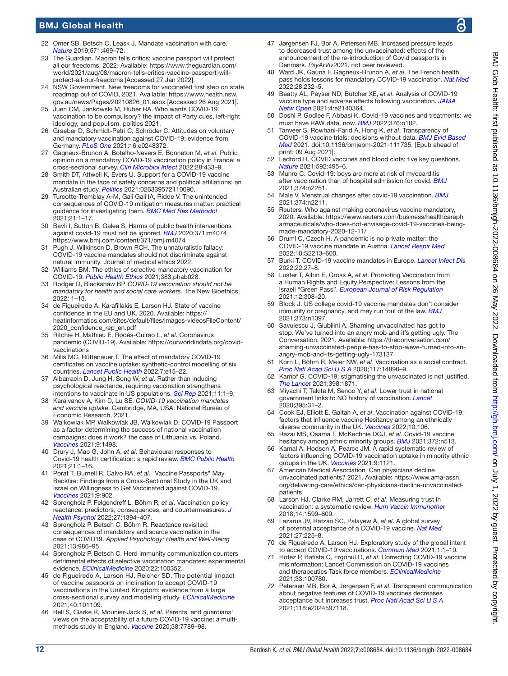## BMJ Global Health

- <span id="page-11-0"></span>22 Omer SB, Betsch C, Leask J. Mandate vaccination with care. *[Nature](http://dx.doi.org/10.1038/d41586-019-02232-0)* 2019;571:469–72.
- <span id="page-11-1"></span>23 The Guardian. Macron tells critics: vaccine passport will protect all our freedoms, 2022. Available: [https://www.theguardian.com/](https://www.theguardian.com/world/2021/aug/08/macron-tells-critics-vaccine-passport-will-protect-all-our-freedoms) [world/2021/aug/08/macron-tells-critics-vaccine-passport-will](https://www.theguardian.com/world/2021/aug/08/macron-tells-critics-vaccine-passport-will-protect-all-our-freedoms)[protect-all-our-freedoms](https://www.theguardian.com/world/2021/aug/08/macron-tells-critics-vaccine-passport-will-protect-all-our-freedoms) [Accessed 27 Jan 2022].
- 24 NSW Government. New freedoms for vaccinated first step on state roadmap out of COVID, 2021. Available: [https://www.health.nsw.](https://www.health.nsw.gov.au/news/Pages/20210826_01.aspx) [gov.au/news/Pages/20210826\\_01.aspx](https://www.health.nsw.gov.au/news/Pages/20210826_01.aspx) [Accessed 26 Aug 2021].
- <span id="page-11-30"></span>25 Juen CM, Jankowski M, Huber RA. Who wants COVID-19 vaccination to be compulsory? the impact of Party cues, left-right ideology, and populism. politics 2021.
- 26 Graeber D, Schmidt-Petri C, Schröder C. Attitudes on voluntary and mandatory vaccination against COVID-19: evidence from Germany. *[PLoS One](http://dx.doi.org/10.1371/journal.pone.0248372)* 2021;16:e0248372.
- 27 Gagneux-Brunon A, Botelho-Nevers E, Bonneton M, *et al*. Public opinion on a mandatory COVID-19 vaccination policy in France: a cross-sectional survey. *[Clin Microbiol Infect](http://dx.doi.org/10.1016/j.cmi.2021.10.016)* 2022;28:433–9.
- 28 Smith DT, Attwell K, Evers U. Support for a COVID-19 vaccine mandate in the face of safety concerns and political affiliations: an Australian study. *[Politics](http://dx.doi.org/10.1177/02633957211009066)* 2021:026339572110090.
- <span id="page-11-2"></span>29 Turcotte-Tremblay A-M, Gali Gali IA, Ridde V. The unintended consequences of COVID-19 mitigation measures matter: practical guidance for investigating them. *[BMC Med Res Methodol](http://dx.doi.org/10.1186/s12874-020-01200-x)* 2021;21:1–17.
- <span id="page-11-31"></span>30 Bavli I, Sutton B, Galea S. Harms of public health interventions against covid-19 must not be ignored. *[BMJ](http://dx.doi.org/10.1136/bmj.m4074)* 2020;371:m4074 <https://www.bmj.com/content/371/bmj.m4074>
- <span id="page-11-3"></span>31 Pugh J, Wilkinson D, Brown RCH. The unnaturalistic fallacy: COVID-19 vaccine mandates should not discriminate against natural immunity. Journal of medical ethics 2022.
- <span id="page-11-32"></span>32 Williams BM. The ethics of selective mandatory vaccination for COVID-19. *[Public Health Ethics](http://dx.doi.org/10.1093/phe/phab028)* 2021;383:phab028.
- 33 Rodger D, Blackshaw BP. *COVID-19 vaccination should not be mandatory for health and social care workers*. The New Bioethics, 2022: 1–13.
- <span id="page-11-4"></span>34 de Figueiredo A, Karafillakis E, Larson HJ. State of vaccine confidence in the EU and UK, 2020. Available: [https://](https://heatinformatics.com/sites/default/files/images-videosFileContent/2020_confidence_rep_en.pdf) [heatinformatics.com/sites/default/files/images-videosFileContent/](https://heatinformatics.com/sites/default/files/images-videosFileContent/2020_confidence_rep_en.pdf) [2020\\_confidence\\_rep\\_en.pdf](https://heatinformatics.com/sites/default/files/images-videosFileContent/2020_confidence_rep_en.pdf)
- 35 Ritchie H, Mathieu E, Rodés-Guirao L, *et al*. Coronavirus pandemic (COVID-19). Available: [https://ourworldindata.org/covid](https://ourworldindata.org/covid-vaccinations)[vaccinations](https://ourworldindata.org/covid-vaccinations)
- <span id="page-11-5"></span>36 Mills MC, Rüttenauer T. The effect of mandatory COVID-19 certificates on vaccine uptake: synthetic-control modelling of six countries. *[Lancet Public Health](http://dx.doi.org/10.1016/S2468-2667(21)00273-5)* 2022;7:e15–22.
- 37 Albarracin D, Jung H, Song W, *et al*. Rather than inducing psychological reactance, requiring vaccination strengthens intentions to vaccinate in US populations. *[Sci Rep](http://dx.doi.org/10.1038/s41598-021-00256-z)* 2021;11:1–9.
- 38 Karaivanov A, Kim D, Lu SE. *COVID-19 vaccination mandates and vaccine uptake*. Cambridge, MA, USA: National Bureau of Economic Research, 2021.
- 39 Walkowiak MP, Walkowiak JB, Walkowiak D. COVID-19 Passport as a factor determining the success of national vaccination campaigns: does it work? the case of Lithuania vs. Poland. *[Vaccines](http://dx.doi.org/10.3390/vaccines9121498)* 2021;9:1498.
- <span id="page-11-6"></span>40 Drury J, Mao G, John A, *et al*. Behavioural responses to Covid-19 health certification: a rapid review. *[BMC Public Health](http://dx.doi.org/10.1186/s12889-021-11166-0)* 2021;21:1–16.
- <span id="page-11-7"></span>41 Porat T, Burnell R, Calvo RA, *et al*. "Vaccine Passports" May Backfire: Findings from a Cross-Sectional Study in the UK and Israel on Willingness to Get Vaccinated against COVID-19. *[Vaccines](http://dx.doi.org/10.3390/vaccines9080902)* 2021;9:902.
- <span id="page-11-8"></span>42 Sprengholz P, Felgendreff L, Böhm R, *et al*. Vaccination policy reactance: predictors, consequences, and countermeasures. *[J](http://dx.doi.org/10.1177/13591053211044535)  [Health Psychol](http://dx.doi.org/10.1177/13591053211044535)* 2022;27:1394–407.
- 43 Sprengholz P, Betsch C, Böhm R. Reactance revisited: consequences of mandatory and scarce vaccination in the case of COVID19. *Applied Psychology: Health and Well‐Being* 2021;13:986–95.
- <span id="page-11-9"></span>44 Sprengholz P, Betsch C. Herd immunity communication counters detrimental effects of selective vaccination mandates: experimental evidence. *[EClinicalMedicine](http://dx.doi.org/10.1016/j.eclinm.2020.100352)* 2020;22:100352.
- <span id="page-11-10"></span>45 de Figueiredo A, Larson HJ, Reicher SD. The potential impact of vaccine passports on inclination to accept COVID-19 vaccinations in the United Kingdom: evidence from a large cross-sectional survey and modeling study. *[EClinicalMedicine](http://dx.doi.org/10.1016/j.eclinm.2021.101109)* 2021;40:101109.
- <span id="page-11-11"></span>46 Bell S, Clarke R, Mounier-Jack S, *et al*. Parents' and guardians' views on the acceptability of a future COVID-19 vaccine: a multimethods study in England. *[Vaccine](http://dx.doi.org/10.1016/j.vaccine.2020.10.027)* 2020;38:7789–98.
- <span id="page-11-12"></span>Jørgensen FJ, Bor A, Petersen MB. Increased pressure leads to decreased trust among the unvaccinated: effects of the announcement of the re-introduction of Covid passports in Denmark. *PsyArViv*2021. not peer reviewed.
- <span id="page-11-13"></span>48 Ward JK, Gauna F, Gagneux-Brunon A, *et al*. The French health pass holds lessons for mandatory COVID-19 vaccination. *[Nat Med](http://dx.doi.org/10.1038/s41591-021-01661-7)* 2022;28:232–5.
- <span id="page-11-14"></span>49 Beatty AL, Peyser ND, Butcher XE, *et al*. Analysis of COVID-19 vaccine type and adverse effects following vaccination. *[JAMA](http://dx.doi.org/10.1001/jamanetworkopen.2021.40364)  [Netw Open](http://dx.doi.org/10.1001/jamanetworkopen.2021.40364)* 2021;4:e2140364.
- <span id="page-11-15"></span>50 Doshi P, Godlee F, Abbasi K. Covid-19 vaccines and treatments: we must have RAW data, now. *[BMJ](http://dx.doi.org/10.1136/bmj.o102)* 2022;376:o102.
- 51 Tanveer S, Rowhani-Farid A, Hong K, *et al*. Transparency of COVID-19 vaccine trials: decisions without data. *[BMJ Evid Based](http://dx.doi.org/10.1136/bmjebm-2021-111735)  [Med](http://dx.doi.org/10.1136/bmjebm-2021-111735)* 2021. doi:10.1136/bmjebm-2021-111735. [Epub ahead of print: 09 Aug 2021].
- <span id="page-11-16"></span>52 Ledford H. COVID vaccines and blood clots: five key questions. *[Nature](http://dx.doi.org/10.1038/d41586-021-00998-w)* 2021;592:495–6.
- <span id="page-11-17"></span>53 Munro C. Covid-19: boys are more at risk of myocarditis after vaccination than of hospital admission for covid. *[BMJ](http://dx.doi.org/10.1136/bmj.n2251)* 2021;374:n2251.
- <span id="page-11-18"></span>54 Male V. Menstrual changes after covid-19 vaccination. *[BMJ](http://dx.doi.org/10.1136/bmj.n2211)* 2021;374:n2211.
- <span id="page-11-19"></span>55 Reuters. Who against making coronavirus vaccine mandatory, 2020. Available: [https://www.reuters.com/business/healthcareph](https://www.reuters.com/business/healthcarepharmaceuticals/who-does-not-envisage-covid-19-vaccines-being-made-mandatory-2020-12-11/) [armaceuticals/who-does-not-envisage-covid-19-vaccines-being](https://www.reuters.com/business/healthcarepharmaceuticals/who-does-not-envisage-covid-19-vaccines-being-made-mandatory-2020-12-11/)[made-mandatory-2020-12-11/](https://www.reuters.com/business/healthcarepharmaceuticals/who-does-not-envisage-covid-19-vaccines-being-made-mandatory-2020-12-11/)
- <span id="page-11-20"></span>Druml C, Czech H. A pandemic is no private matter: the COVID-19 vaccine mandate in Austria. *[Lancet Respir Med](http://dx.doi.org/10.1016/S2213-2600(22)00063-7)* 2022;10:S2213–600.
- 57 Burki T. COVID-19 vaccine mandates in Europe. *[Lancet Infect Dis](http://dx.doi.org/10.1016/S1473-3099(21)00776-3)* 2022;22:27–8.
- <span id="page-11-21"></span>58 Luster T, Albin E, Gross A, *et al*. Promoting Vaccination from a Human Rights and Equity Perspective: Lessons from the Israeli "Green Pass". *[European Journal of Risk Regulation](http://dx.doi.org/10.1017/err.2021.36)* 2021;12:308–20.
- <span id="page-11-22"></span>59 Block J. US college covid-19 vaccine mandates don't consider immunity or pregnancy, and may run foul of the law. *[BMJ](http://dx.doi.org/10.1136/bmj.n1397)* 2021;373:n1397.
- <span id="page-11-23"></span>60 Savulescu J, Giubilini A. Shaming unvaccinated has got to stop. We've turned into an angry mob and it's getting ugly. The Conversation, 2021. Available: [https://theconversation.com/](https://theconversation.com/shaming-unvaccinated-people-has-to-stop-weve-turned-into-an-angry-mob-and-its-getting-ugly-173137) [shaming-unvaccinated-people-has-to-stop-weve-turned-into-an](https://theconversation.com/shaming-unvaccinated-people-has-to-stop-weve-turned-into-an-angry-mob-and-its-getting-ugly-173137)[angry-mob-and-its-getting-ugly-173137](https://theconversation.com/shaming-unvaccinated-people-has-to-stop-weve-turned-into-an-angry-mob-and-its-getting-ugly-173137)
- <span id="page-11-24"></span>61 Korn L, Böhm R, Meier NW, *et al*. Vaccination as a social contract. *[Proc Natl Acad Sci U S A](http://dx.doi.org/10.1073/pnas.1919666117)* 2020;117:14890–9.
- <span id="page-11-25"></span>Kampf G. COVID-19: stigmatising the unvaccinated is not justified. *[The Lancet](http://dx.doi.org/10.1016/S0140-6736(21)02243-1)* 2021;398:1871.
- <span id="page-11-28"></span>63 Miyachi T, Takita M, Senoo Y, *et al*. Lower trust in national government links to NO history of vaccination. *[Lancet](http://dx.doi.org/10.1016/S0140-6736(19)32686-8)* 2020;395:31–2.
- 64 Cook EJ, Elliott E, Gaitan A, *et al*. Vaccination against COVID-19: factors that influence vaccine Hesitancy among an ethnically diverse community in the UK. *[Vaccines](http://dx.doi.org/10.3390/vaccines10010106)* 2022;10:106.
- 65 Razai MS, Osama T, McKechnie DGJ, *et al*. Covid-19 vaccine hesitancy among ethnic minority groups. *[BMJ](http://dx.doi.org/10.1136/bmj.n513)* 2021;372:n513.
- 66 Kamal A, Hodson A, Pearce JM. A rapid systematic review of factors influencing COVID-19 vaccination uptake in minority ethnic groups in the UK. *[Vaccines](http://dx.doi.org/10.3390/vaccines9101121)* 2021;9:1121.
- <span id="page-11-26"></span>American Medical Association. Can physicians decline unvaccinated patients? 2021. Available: [https://www.ama-assn.](https://www.ama-assn.org/delivering-care/ethics/can-physicians-decline-unvaccinated-patients) [org/delivering-care/ethics/can-physicians-decline-unvaccinated](https://www.ama-assn.org/delivering-care/ethics/can-physicians-decline-unvaccinated-patients)[patients](https://www.ama-assn.org/delivering-care/ethics/can-physicians-decline-unvaccinated-patients)
- <span id="page-11-27"></span>68 Larson HJ, Clarke RM, Jarrett C, *et al*. Measuring trust in vaccination: a systematic review. *[Hum Vaccin Immunother](http://dx.doi.org/10.1080/21645515.2018.1459252)* 2018;14:1599–609.
- 69 Lazarus JV, Ratzan SC, Palayew A, *et al*. A global survey of potential acceptance of a COVID-19 vaccine. *[Nat Med](http://dx.doi.org/10.1038/s41591-020-1124-9)* 2021;27:225–8.
- 70 de Figueiredo A, Larson HJ. Exploratory study of the global intent to accept COVID-19 vaccinations. *[Commun Med](http://dx.doi.org/10.1038/s43856-021-00027-x)* 2021;1:1–10.
- 71 Hotez P, Batista C, Ergonul O, *et al*. Correcting COVID-19 vaccine misinformation: Lancet Commission on COVID-19 vaccines and therapeutics Task force members. *[EClinicalMedicine](http://dx.doi.org/10.1016/j.eclinm.2021.100780)* 2021;33:100780.
- <span id="page-11-29"></span>72 Petersen MB, Bor A, Jørgensen F, *et al*. Transparent communication about negative features of COVID-19 vaccines decreases acceptance but increases trust. *[Proc Natl Acad Sci U S A](http://dx.doi.org/10.1073/pnas.2024597118)* 2021;118:e2024597118.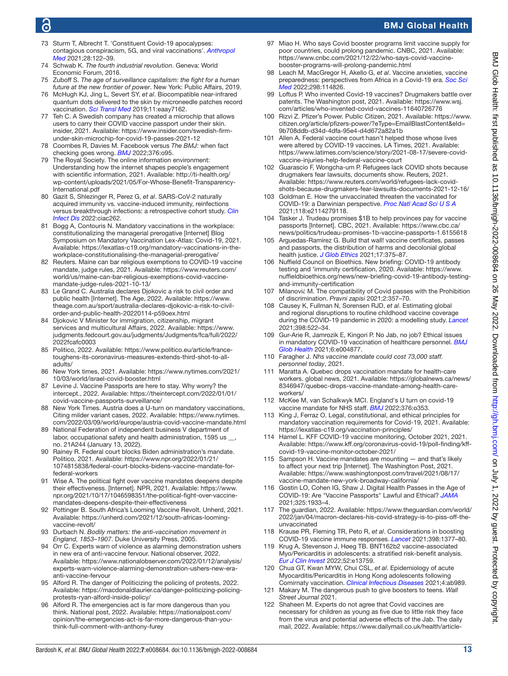## 6

## BMJ Global Health

- <span id="page-12-1"></span>73 Sturm T, Albrecht T. 'Constituent Covid-19 apocalypses: contagious conspiracism, 5G, and viral vaccinations'. *[Anthropol](http://dx.doi.org/10.1080/13648470.2020.1833684)  [Med](http://dx.doi.org/10.1080/13648470.2020.1833684)* 2021;28:122–39.
- <span id="page-12-2"></span>74 Schwab K. *The fourth industrial revolution*. Geneva: World Economic Forum, 2016.
- 75 Zuboff S. *The age of surveillance capitalism: the fight for a human future at the new frontier of power*. New York: Public Affairs, 2019.
- <span id="page-12-3"></span>76 McHugh KJ, Jing L, Severt SY, *et al*. Biocompatible near-infrared quantum dots delivered to the skin by microneedle patches record vaccination. *[Sci Transl Med](http://dx.doi.org/10.1126/scitranslmed.aay7162)* 2019;11:eaay7162.
- <span id="page-12-4"></span>77 Teh C. A Swedish company has created a microchip that allows users to carry their COVID vaccine passport under their skin. insider, 2021. Available: [https://www.insider.com/swedish-firm](https://www.insider.com/swedish-firm-under-skin-microchip-for-covid-19-passes-2021-12)[under-skin-microchip-for-covid-19-passes-2021-12](https://www.insider.com/swedish-firm-under-skin-microchip-for-covid-19-passes-2021-12)
- <span id="page-12-5"></span>78 Coombes R, Davies M. Facebook versus *The BMJ*: when fact checking goes wrong. *[BMJ](http://dx.doi.org/10.1136/bmj.o95)* 2022;376:o95.
- <span id="page-12-6"></span>79 The Royal Society. The online information environment: Understanding how the internet shapes people's engagement with scientific information, 2021. Available: [http://ti-health.org/](http://ti-health.org/wp-content/uploads/2021/05/For-Whose-Benefit-Transparency-International.pdf) [wp-content/uploads/2021/05/For-Whose-Benefit-Transparency-](http://ti-health.org/wp-content/uploads/2021/05/For-Whose-Benefit-Transparency-International.pdf)[International.pdf](http://ti-health.org/wp-content/uploads/2021/05/For-Whose-Benefit-Transparency-International.pdf)
- <span id="page-12-7"></span>80 Gazit S, Shlezinger R, Perez G, *et al*. SARS-CoV-2 naturally acquired immunity vs. vaccine-induced immunity, reinfections versus breakthrough infections: a retrospective cohort study. *[Clin](http://dx.doi.org/10.1093/cid/ciac262)  [Infect Dis](http://dx.doi.org/10.1093/cid/ciac262)* 2022:ciac262.
- <span id="page-12-8"></span>81 Bogg A, Contouris N. Mandatory vaccinations in the workplace: constitutionalizing the managerial prerogative [Internet] Blog Symposium on Mandatory Vaccination Lex-Atlas: Covid-19, 2021. Available: [https://lexatlas-c19.org/mandatory-vaccinations-in-the](https://lexatlas-c19.org/mandatory-vaccinations-in-the-workplace-constitutionalising-the-managerial-prerogative/)[workplace-constitutionalising-the-managerial-prerogative/](https://lexatlas-c19.org/mandatory-vaccinations-in-the-workplace-constitutionalising-the-managerial-prerogative/)
- <span id="page-12-9"></span>82 Reuters. Maine can bar religious exemptions to COVID-19 vaccine mandate, judge rules, 2021. Available: [https://www.reuters.com/](https://www.reuters.com/world/us/maine-can-bar-religious-exemptions-covid-vaccine-mandate-judge-rules-2021-10-13/) [world/us/maine-can-bar-religious-exemptions-covid-vaccine](https://www.reuters.com/world/us/maine-can-bar-religious-exemptions-covid-vaccine-mandate-judge-rules-2021-10-13/)[mandate-judge-rules-2021-10-13/](https://www.reuters.com/world/us/maine-can-bar-religious-exemptions-covid-vaccine-mandate-judge-rules-2021-10-13/)
- <span id="page-12-10"></span>83 Le Grand C. Australia declares Djokovic a risk to civil order and public health [Internet]. The Age, 2022. Available: [https://www.](https://www.theage.com.au/sport/australia-declares-djokovic-a-risk-to-civil-order-and-public-health-20220114-p59oex.html) [theage.com.au/sport/australia-declares-djokovic-a-risk-to-civil](https://www.theage.com.au/sport/australia-declares-djokovic-a-risk-to-civil-order-and-public-health-20220114-p59oex.html)[order-and-public-health-20220114-p59oex.html](https://www.theage.com.au/sport/australia-declares-djokovic-a-risk-to-civil-order-and-public-health-20220114-p59oex.html)
- <span id="page-12-11"></span>84 Djokovic V Minister for immigration, citizenship, migrant services and multicultural Affairs, 2022. Available: [https://www.](https://www.judgments.fedcourt.gov.au/judgments/Judgments/fca/full/2022/2022fcafc0003) [judgments.fedcourt.gov.au/judgments/Judgments/fca/full/2022/](https://www.judgments.fedcourt.gov.au/judgments/Judgments/fca/full/2022/2022fcafc0003) [2022fcafc0003](https://www.judgments.fedcourt.gov.au/judgments/Judgments/fca/full/2022/2022fcafc0003)
- <span id="page-12-12"></span>85 Politico, 2022. Available: [https://www.politico.eu/article/france](https://www.politico.eu/article/france-toughens-its-coronavirus-measures-extends-third-shot-to-all-adults/)[toughens-its-coronavirus-measures-extends-third-shot-to-all](https://www.politico.eu/article/france-toughens-its-coronavirus-measures-extends-third-shot-to-all-adults/)[adults/](https://www.politico.eu/article/france-toughens-its-coronavirus-measures-extends-third-shot-to-all-adults/)
- 86 New York times, 2021. Available: [https://www.nytimes.com/2021/](https://www.nytimes.com/2021/10/03/world/israel-covid-booster.html) [10/03/world/israel-covid-booster.html](https://www.nytimes.com/2021/10/03/world/israel-covid-booster.html)
- <span id="page-12-13"></span>87 Levine J. Vaccine Passports are here to stay. Why worry? the intercept., 2022. Available: [https://theintercept.com/2022/01/01/](https://theintercept.com/2022/01/01/covid-vaccine-passports-surveillance/) [covid-vaccine-passports-surveillance/](https://theintercept.com/2022/01/01/covid-vaccine-passports-surveillance/)
- 88 New York Times. Austria does a U-turn on mandatory vaccinations, Citing milder variant cases, 2022. Available: [https://www.nytimes.](https://www.nytimes.com/2022/03/09/world/europe/austria-covid-vaccine-mandate.html) [com/2022/03/09/world/europe/austria-covid-vaccine-mandate.html](https://www.nytimes.com/2022/03/09/world/europe/austria-covid-vaccine-mandate.html)
- <span id="page-12-14"></span>89 National Federation of independent business V department of labor, occupational safety and health administration, 1595 us \_ no. 21A244 (January 13, 2022).
- <span id="page-12-15"></span>90 Rainey R. Federal court blocks Biden administration's mandate. Politico, 2021. Available: [https://www.npr.org/2022/01/21/](https://www.npr.org/2022/01/21/1074815838/federal-court-blocks-bidens-vaccine-mandate-for-federal-workers) [1074815838/federal-court-blocks-bidens-vaccine-mandate-for](https://www.npr.org/2022/01/21/1074815838/federal-court-blocks-bidens-vaccine-mandate-for-federal-workers)[federal-workers](https://www.npr.org/2022/01/21/1074815838/federal-court-blocks-bidens-vaccine-mandate-for-federal-workers)
- 91 Wise A. The political fight over vaccine mandates deepens despite their effectiveness. [Internet]. NPR, 2021. Available: [https://www.](https://www.npr.org/2021/10/17/1046598351/the-political-fight-over-vaccine-mandates-deepens-despite-their-effectiveness) [npr.org/2021/10/17/1046598351/the-political-fight-over-vaccine](https://www.npr.org/2021/10/17/1046598351/the-political-fight-over-vaccine-mandates-deepens-despite-their-effectiveness)[mandates-deepens-despite-their-effectiveness](https://www.npr.org/2021/10/17/1046598351/the-political-fight-over-vaccine-mandates-deepens-despite-their-effectiveness)
- <span id="page-12-16"></span>92 Pottinger B. South Africa's Looming Vaccine Revolt. Unherd, 2021. Available: [https://unherd.com/2021/12/south-africas-looming](https://unherd.com/2021/12/south-africas-looming-vaccine-revolt/)[vaccine-revolt/](https://unherd.com/2021/12/south-africas-looming-vaccine-revolt/)
- <span id="page-12-17"></span>93 Durbach N. *Bodily matters: the anti-vaccination movement in England, 1853–1907*. Duke University Press, 2005.
- <span id="page-12-18"></span>94 Orr C. Experts warn of violence as alarming demonstration ushers in new era of anti-vaccine fervour. National observer, 2022. Available: [https://www.nationalobserver.com/2022/01/12/analysis/](https://www.nationalobserver.com/2022/01/12/analysis/experts-warn-violence-alarming-demonstration-ushers-new-era-anti-vaccine-fervour) [experts-warn-violence-alarming-demonstration-ushers-new-era](https://www.nationalobserver.com/2022/01/12/analysis/experts-warn-violence-alarming-demonstration-ushers-new-era-anti-vaccine-fervour)[anti-vaccine-fervour](https://www.nationalobserver.com/2022/01/12/analysis/experts-warn-violence-alarming-demonstration-ushers-new-era-anti-vaccine-fervour)
- <span id="page-12-19"></span>95 Alford R. The danger of Politicizing the policing of protests, 2022. Available: [https://macdonaldlaurier.ca/danger-politicizing-policing](https://macdonaldlaurier.ca/danger-politicizing-policing-protests-ryan-alford-inside-policy/)[protests-ryan-alford-inside-policy/](https://macdonaldlaurier.ca/danger-politicizing-policing-protests-ryan-alford-inside-policy/)
- 96 Alford R. The emergencies act is far more dangerous than you think. National post, 2022. Available: [https://nationalpost.com/](https://nationalpost.com/opinion/the-emergencies-act-is-far-more-dangerous-than-you-think-full-comment-with-anthony-furey) [opinion/the-emergencies-act-is-far-more-dangerous-than-you](https://nationalpost.com/opinion/the-emergencies-act-is-far-more-dangerous-than-you-think-full-comment-with-anthony-furey)[think-full-comment-with-anthony-furey](https://nationalpost.com/opinion/the-emergencies-act-is-far-more-dangerous-than-you-think-full-comment-with-anthony-furey)
- <span id="page-12-20"></span>97 Miao H. Who says Covid booster programs limit vaccine supply for poor countries, could prolong pandemic. CNBC, 2021. Available: [https://www.cnbc.com/2021/12/22/who-says-covid-vaccine](https://www.cnbc.com/2021/12/22/who-says-covid-vaccine-booster-programs-will-prolong-pandemic.html)[booster-programs-will-prolong-pandemic.html](https://www.cnbc.com/2021/12/22/who-says-covid-vaccine-booster-programs-will-prolong-pandemic.html)
- <span id="page-12-21"></span>98 Leach M, MacGregor H, Akello G, *et al*. Vaccine anxieties, vaccine preparedness: perspectives from Africa in a Covid-19 era. *[Soc Sci](http://dx.doi.org/10.1016/j.socscimed.2022.114826)  [Med](http://dx.doi.org/10.1016/j.socscimed.2022.114826)* 2022;298:114826.
- <span id="page-12-22"></span>99 Loftus P. Who invented Covid-19 vaccines? Drugmakers battle over patents. The Washington post, 2021. Available: [https://www.wsj.](https://www.wsj.com/articles/who-invented-covid-vaccines-11640726776) [com/articles/who-invented-covid-vaccines-11640726776](https://www.wsj.com/articles/who-invented-covid-vaccines-11640726776)
- <span id="page-12-39"></span>100 Rizvi Z. Pfizer's Power. Public Citizen, 2021. Available: [https://www.](https://www.citizen.org/article/pfizers-power/?eType=EmailBlastContent&eId=9b708ddb-d34d-4dfa-95e4-d4d672a82a1b) [citizen.org/article/pfizers-power/?eType=EmailBlastContent&eId=](https://www.citizen.org/article/pfizers-power/?eType=EmailBlastContent&eId=9b708ddb-d34d-4dfa-95e4-d4d672a82a1b) [9b708ddb-d34d-4dfa-95e4-d4d672a82a1b](https://www.citizen.org/article/pfizers-power/?eType=EmailBlastContent&eId=9b708ddb-d34d-4dfa-95e4-d4d672a82a1b)
- <span id="page-12-23"></span>101 Allen A. Federal vaccine court hasn't helped those whose lives were altered by COVID-19 vaccines. LA Times, 2021. Available: [https://www.latimes.com/science/story/2021-08-17/severe-covid](https://www.latimes.com/science/story/2021-08-17/severe-covid-vaccine-injuries-help-federal-vaccine-court)[vaccine-injuries-help-federal-vaccine-court](https://www.latimes.com/science/story/2021-08-17/severe-covid-vaccine-injuries-help-federal-vaccine-court)
- <span id="page-12-24"></span>102 Guarascio F, Wongcha-um P. Refugees lack COVID shots because drugmakers fear lawsuits, documents show. Reuters, 2021. Available: [https://www.reuters.com/world/refugees-lack-covid](https://www.reuters.com/world/refugees-lack-covid-shots-because-drugmakers-fear-lawsuits-documents-2021-12-16/)[shots-because-drugmakers-fear-lawsuits-documents-2021-12-16/](https://www.reuters.com/world/refugees-lack-covid-shots-because-drugmakers-fear-lawsuits-documents-2021-12-16/)
- <span id="page-12-25"></span>103 Goldman E. How the unvaccinated threaten the vaccinated for COVID-19: a Darwinian perspective. *[Proc Natl Acad Sci U S A](http://dx.doi.org/10.1073/pnas.2114279118)* 2021;118:e2114279118.
- <span id="page-12-26"></span>104 Tasker J. Trudeau promises \$1B to help provinces pay for vaccine passports [Internet]. CBC, 2021. Available: [https://www.cbc.ca/](https://www.cbc.ca/news/politics/trudeau-promises-1b-vaccine-passports-1.6155618) [news/politics/trudeau-promises-1b-vaccine-passports-1.6155618](https://www.cbc.ca/news/politics/trudeau-promises-1b-vaccine-passports-1.6155618)
- <span id="page-12-27"></span>105 Arguedas-Ramírez G. Build that wall! vaccine certificates, passes and passports, the distribution of harms and decolonial global health justice. *[J Glob Ethics](http://dx.doi.org/10.1080/17449626.2021.2002391)* 2021;17:375–87.
- <span id="page-12-28"></span>106 Nuffield Council on Bioethics. New briefing: COVID-19 antibody testing and 'immunity certification, 2020. Available: [https://www.](https://www.nuffieldbioethics.org/news/new-briefing-covid-19-antibody-testing-and-immunity-certification) [nuffieldbioethics.org/news/new-briefing-covid-19-antibody-testing](https://www.nuffieldbioethics.org/news/new-briefing-covid-19-antibody-testing-and-immunity-certification)[and-immunity-certification](https://www.nuffieldbioethics.org/news/new-briefing-covid-19-antibody-testing-and-immunity-certification)
- 107 Milanović M. The compatibility of Covid passes with the Prohibition of discrimination. *Pravni zapisi* 2021;2:357–70.
- <span id="page-12-29"></span>108 Causey K, Fullman N, Sorensen RJD, *et al*. Estimating global and regional disruptions to routine childhood vaccine coverage during the COVID-19 pandemic in 2020: a modelling study. *[Lancet](http://dx.doi.org/10.1016/S0140-6736(21)01337-4)* 2021;398:522–34.
- 109 Gur-Arie R, Jamrozik E, Kingori P. No Jab, no job? Ethical issues in mandatory COVID-19 vaccination of healthcare personnel. *[BMJ](http://dx.doi.org/10.1136/bmjgh-2020-004877)  [Glob Health](http://dx.doi.org/10.1136/bmjgh-2020-004877)* 2021;6:e004877.
- <span id="page-12-30"></span>110 Faragher J. *Nhs vaccine mandate could cost 73,000 staff. personnel today*, 2021.
- <span id="page-12-31"></span>111 Maratta A. Quebec drops vaccination mandate for health-care workers. global news, 2021. Available: [https://globalnews.ca/news/](https://globalnews.ca/news/8346947/quebec-drops-vaccine-mandate-among-health-care-workers/) [8346947/quebec-drops-vaccine-mandate-among-health-care](https://globalnews.ca/news/8346947/quebec-drops-vaccine-mandate-among-health-care-workers/)[workers/](https://globalnews.ca/news/8346947/quebec-drops-vaccine-mandate-among-health-care-workers/)
- <span id="page-12-32"></span>112 McKee M, van Schalkwyk MCI. England's U turn on covid-19 vaccine mandate for NHS staff. *[BMJ](http://dx.doi.org/10.1136/bmj.o353)* 2022;376:o353.
- <span id="page-12-33"></span>113 King J, Ferraz O. Legal, constitutional, and ethical principles for mandatory vaccination requirements for Covid-19, 2021. Available: <https://lexatlas-c19.org/vaccination-principles/>
- <span id="page-12-34"></span>114 Hamel L. KFF COVID-19 vaccine monitoring, October 2021, 2021. Available: [https://www.kff.org/coronavirus-covid-19/poll-finding/kff](https://www.kff.org/coronavirus-covid-19/poll-finding/kff-covid-19-vaccine-monitor-october-2021/)[covid-19-vaccine-monitor-october-2021/](https://www.kff.org/coronavirus-covid-19/poll-finding/kff-covid-19-vaccine-monitor-october-2021/)
- <span id="page-12-35"></span>115 Sampson H. Vaccine mandates are mounting — and that's likely to affect your next trip [Internet]. The Washington Post, 2021. Available: [https://www.washingtonpost.com/travel/2021/08/17/](https://www.washingtonpost.com/travel/2021/08/17/vaccine-mandate-new-york-broadway-california/) [vaccine-mandate-new-york-broadway-california/](https://www.washingtonpost.com/travel/2021/08/17/vaccine-mandate-new-york-broadway-california/)
- <span id="page-12-40"></span>116 Gostin LO, Cohen IG, Shaw J. Digital Health Passes in the Age of COVID-19: Are "Vaccine Passports" Lawful and Ethical? *[JAMA](http://dx.doi.org/10.1001/jama.2021.5283)* 2021;325:1933–4.
- <span id="page-12-0"></span>117 The guardian, 2022. Available: [https://www.theguardian.com/world/](https://www.theguardian.com/world/2022/jan/04/macron-declares-his-covid-strategy-is-to-piss-off-the-unvaccinated) [2022/jan/04/macron-declares-his-covid-strategy-is-to-piss-off-the](https://www.theguardian.com/world/2022/jan/04/macron-declares-his-covid-strategy-is-to-piss-off-the-unvaccinated)[unvaccinated](https://www.theguardian.com/world/2022/jan/04/macron-declares-his-covid-strategy-is-to-piss-off-the-unvaccinated)
- <span id="page-12-38"></span>118 Krause PR, Fleming TR, Peto R, *et al*. Considerations in boosting COVID-19 vaccine immune responses. *[Lancet](http://dx.doi.org/10.1016/S0140-6736(21)02046-8)* 2021;398:1377–80.
- <span id="page-12-36"></span>119 Krug A, Stevenson J, Høeg TB. BNT162b2 vaccine-associated Myo/Pericarditis in adolescents: a stratified risk-benefit analysis. *[Eur J Clin Invest](http://dx.doi.org/10.1111/eci.13759)* 2022;52:e13759.
- 120 Chua GT, Kwan MYW, Chui CSL, *et al*. Epidemiology of acute Myocarditis/Pericarditis in Hong Kong adolescents following Comirnaty vaccination. *[Clinical Infectious Diseases](http://dx.doi.org/10.1093/cid/ciab989)* 2021;4:ab989.
- 121 Makary M. The dangerous push to give boosters to teens. *Wall Street Journal* 2021.
- <span id="page-12-37"></span>122 Shaheen M. Experts do not agree that Covid vaccines are necessary for children as young as five due to little risk they face from the virus and potential adverse effects of the Jab. The daily mail, 2022. Available: [https://www.dailymail.co.uk/health/article-](https://www.dailymail.co.uk/health/article-10452707/Not-experts-agree-Covid-vaccines-necessary-children-young-five.html)